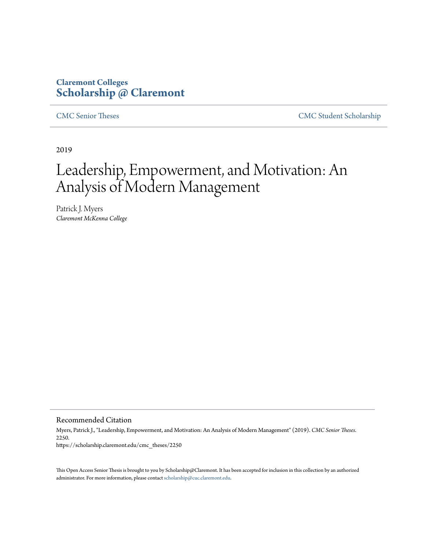# **Claremont Colleges [Scholarship @ Claremont](https://scholarship.claremont.edu)**

[CMC Senior Theses](https://scholarship.claremont.edu/cmc_theses) [CMC Student Scholarship](https://scholarship.claremont.edu/cmc_student)

2019

# Leadership, Empowerment, and Motivation: An Analysis of Modern Management

Patrick J. Myers *Claremont McKenna College*

Recommended Citation

Myers, Patrick J., "Leadership, Empowerment, and Motivation: An Analysis of Modern Management" (2019). *CMC Senior Theses*. 2250. https://scholarship.claremont.edu/cmc\_theses/2250

This Open Access Senior Thesis is brought to you by Scholarship@Claremont. It has been accepted for inclusion in this collection by an authorized administrator. For more information, please contact [scholarship@cuc.claremont.edu.](mailto:scholarship@cuc.claremont.edu)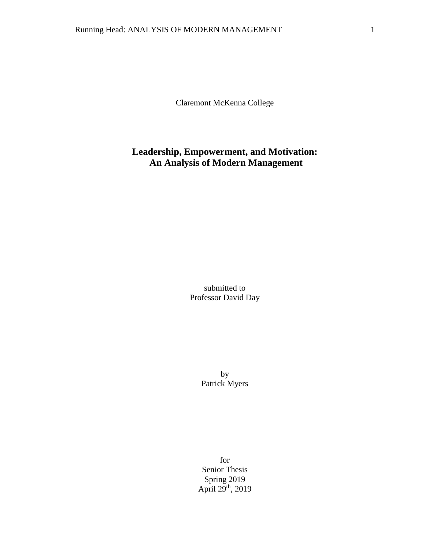Claremont McKenna College

# **Leadership, Empowerment, and Motivation: An Analysis of Modern Management**

submitted to Professor David Day

> by Patrick Myers

for Senior Thesis Spring 2019 April 29<sup>th</sup>, 2019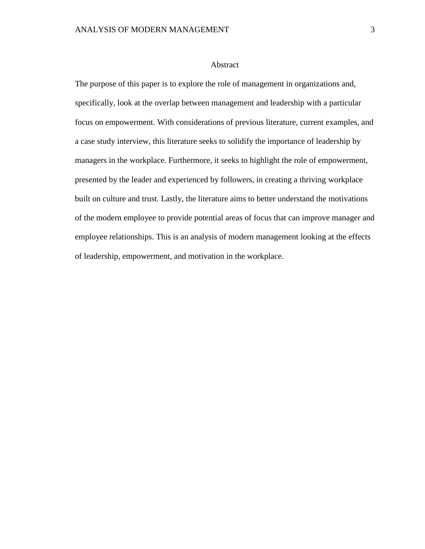# Abstract

The purpose of this paper is to explore the role of management in organizations and, specifically, look at the overlap between management and leadership with a particular focus on empowerment. With considerations of previous literature, current examples, and a case study interview, this literature seeks to solidify the importance of leadership by managers in the workplace. Furthermore, it seeks to highlight the role of empowerment, presented by the leader and experienced by followers, in creating a thriving workplace built on culture and trust. Lastly, the literature aims to better understand the motivations of the modern employee to provide potential areas of focus that can improve manager and employee relationships. This is an analysis of modern management looking at the effects of leadership, empowerment, and motivation in the workplace.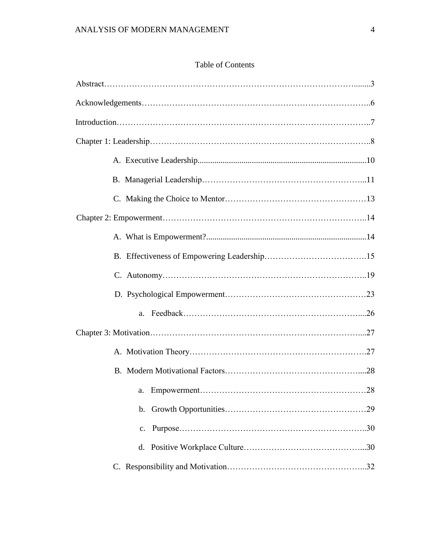# Table of Contents

| $\mathbf{b}$ . |
|----------------|
|                |
|                |
|                |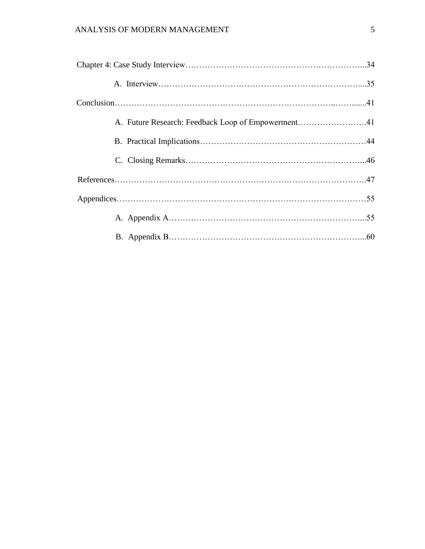| A. Future Research: Feedback Loop of Empowerment41 |  |
|----------------------------------------------------|--|
|                                                    |  |
|                                                    |  |
|                                                    |  |
|                                                    |  |
|                                                    |  |
|                                                    |  |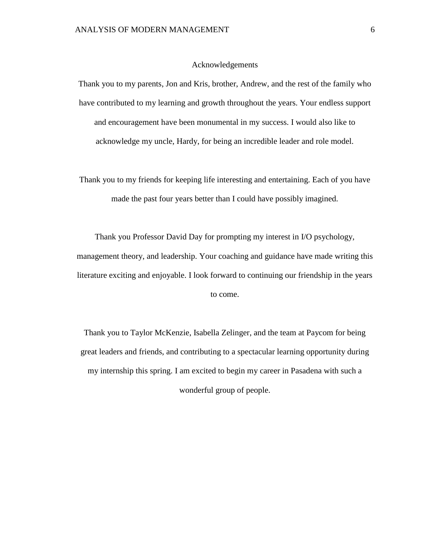## Acknowledgements

Thank you to my parents, Jon and Kris, brother, Andrew, and the rest of the family who have contributed to my learning and growth throughout the years. Your endless support and encouragement have been monumental in my success. I would also like to acknowledge my uncle, Hardy, for being an incredible leader and role model.

Thank you to my friends for keeping life interesting and entertaining. Each of you have made the past four years better than I could have possibly imagined.

Thank you Professor David Day for prompting my interest in I/O psychology, management theory, and leadership. Your coaching and guidance have made writing this literature exciting and enjoyable. I look forward to continuing our friendship in the years to come.

Thank you to Taylor McKenzie, Isabella Zelinger, and the team at Paycom for being great leaders and friends, and contributing to a spectacular learning opportunity during my internship this spring. I am excited to begin my career in Pasadena with such a wonderful group of people.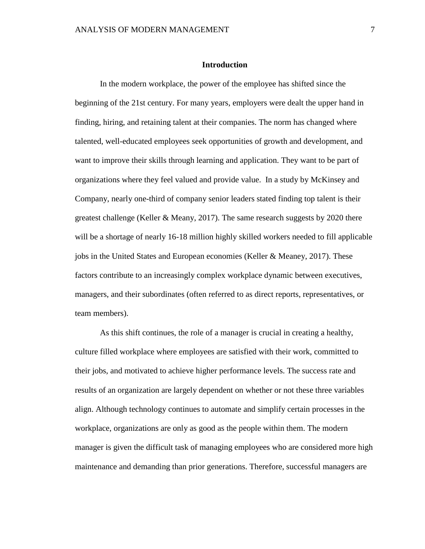# **Introduction**

In the modern workplace, the power of the employee has shifted since the beginning of the 21st century. For many years, employers were dealt the upper hand in finding, hiring, and retaining talent at their companies. The norm has changed where talented, well-educated employees seek opportunities of growth and development, and want to improve their skills through learning and application. They want to be part of organizations where they feel valued and provide value. In a study by McKinsey and Company, nearly one-third of company senior leaders stated finding top talent is their greatest challenge (Keller & Meany, 2017). The same research suggests by 2020 there will be a shortage of nearly 16-18 million highly skilled workers needed to fill applicable jobs in the United States and European economies (Keller & Meaney, 2017). These factors contribute to an increasingly complex workplace dynamic between executives, managers, and their subordinates (often referred to as direct reports, representatives, or team members).

As this shift continues, the role of a manager is crucial in creating a healthy, culture filled workplace where employees are satisfied with their work, committed to their jobs, and motivated to achieve higher performance levels. The success rate and results of an organization are largely dependent on whether or not these three variables align. Although technology continues to automate and simplify certain processes in the workplace, organizations are only as good as the people within them. The modern manager is given the difficult task of managing employees who are considered more high maintenance and demanding than prior generations. Therefore, successful managers are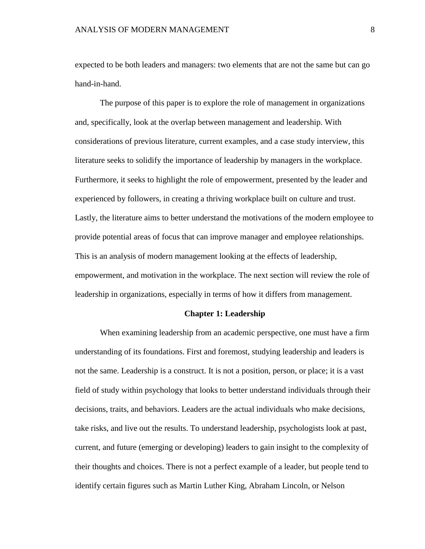expected to be both leaders and managers: two elements that are not the same but can go hand-in-hand.

The purpose of this paper is to explore the role of management in organizations and, specifically, look at the overlap between management and leadership. With considerations of previous literature, current examples, and a case study interview, this literature seeks to solidify the importance of leadership by managers in the workplace. Furthermore, it seeks to highlight the role of empowerment, presented by the leader and experienced by followers, in creating a thriving workplace built on culture and trust. Lastly, the literature aims to better understand the motivations of the modern employee to provide potential areas of focus that can improve manager and employee relationships. This is an analysis of modern management looking at the effects of leadership, empowerment, and motivation in the workplace. The next section will review the role of leadership in organizations, especially in terms of how it differs from management.

### **Chapter 1: Leadership**

When examining leadership from an academic perspective, one must have a firm understanding of its foundations. First and foremost, studying leadership and leaders is not the same. Leadership is a construct. It is not a position, person, or place; it is a vast field of study within psychology that looks to better understand individuals through their decisions, traits, and behaviors. Leaders are the actual individuals who make decisions, take risks, and live out the results. To understand leadership, psychologists look at past, current, and future (emerging or developing) leaders to gain insight to the complexity of their thoughts and choices. There is not a perfect example of a leader, but people tend to identify certain figures such as Martin Luther King, Abraham Lincoln, or Nelson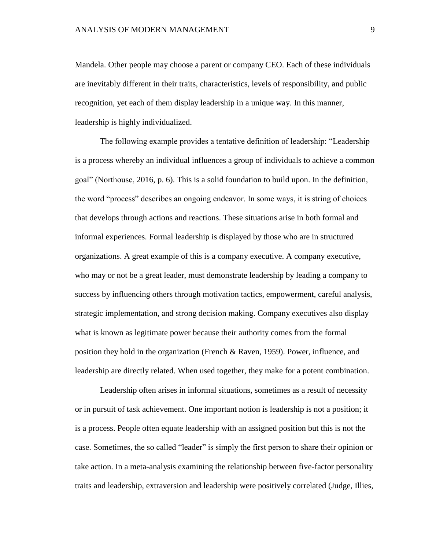Mandela. Other people may choose a parent or company CEO. Each of these individuals are inevitably different in their traits, characteristics, levels of responsibility, and public recognition, yet each of them display leadership in a unique way. In this manner, leadership is highly individualized.

The following example provides a tentative definition of leadership: "Leadership is a process whereby an individual influences a group of individuals to achieve a common goal" (Northouse, 2016, p. 6). This is a solid foundation to build upon. In the definition, the word "process" describes an ongoing endeavor. In some ways, it is string of choices that develops through actions and reactions. These situations arise in both formal and informal experiences. Formal leadership is displayed by those who are in structured organizations. A great example of this is a company executive. A company executive, who may or not be a great leader, must demonstrate leadership by leading a company to success by influencing others through motivation tactics, empowerment, careful analysis, strategic implementation, and strong decision making. Company executives also display what is known as legitimate power because their authority comes from the formal position they hold in the organization (French & Raven, 1959). Power, influence, and leadership are directly related. When used together, they make for a potent combination.

Leadership often arises in informal situations, sometimes as a result of necessity or in pursuit of task achievement. One important notion is leadership is not a position; it is a process. People often equate leadership with an assigned position but this is not the case. Sometimes, the so called "leader" is simply the first person to share their opinion or take action. In a meta-analysis examining the relationship between five-factor personality traits and leadership, extraversion and leadership were positively correlated (Judge, Illies,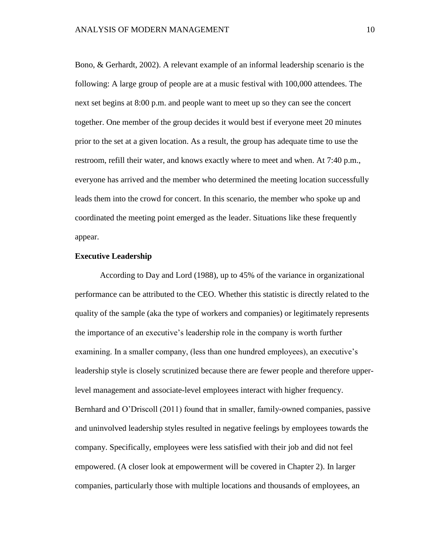Bono, & Gerhardt, 2002). A relevant example of an informal leadership scenario is the following: A large group of people are at a music festival with 100,000 attendees. The next set begins at 8:00 p.m. and people want to meet up so they can see the concert together. One member of the group decides it would best if everyone meet 20 minutes prior to the set at a given location. As a result, the group has adequate time to use the restroom, refill their water, and knows exactly where to meet and when. At 7:40 p.m., everyone has arrived and the member who determined the meeting location successfully leads them into the crowd for concert. In this scenario, the member who spoke up and coordinated the meeting point emerged as the leader. Situations like these frequently appear.

# **Executive Leadership**

According to Day and Lord (1988), up to 45% of the variance in organizational performance can be attributed to the CEO. Whether this statistic is directly related to the quality of the sample (aka the type of workers and companies) or legitimately represents the importance of an executive's leadership role in the company is worth further examining. In a smaller company, (less than one hundred employees), an executive's leadership style is closely scrutinized because there are fewer people and therefore upperlevel management and associate-level employees interact with higher frequency. Bernhard and O'Driscoll (2011) found that in smaller, family-owned companies, passive and uninvolved leadership styles resulted in negative feelings by employees towards the company. Specifically, employees were less satisfied with their job and did not feel empowered. (A closer look at empowerment will be covered in Chapter 2). In larger companies, particularly those with multiple locations and thousands of employees, an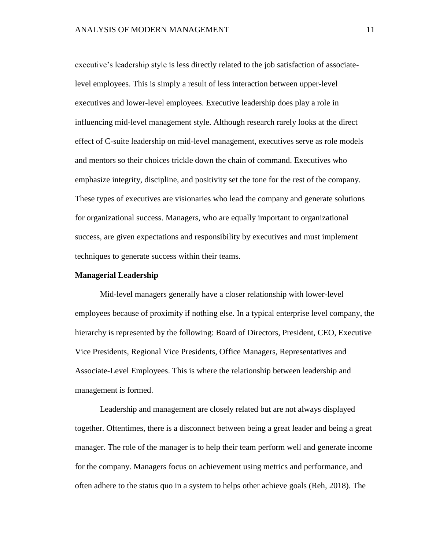executive's leadership style is less directly related to the job satisfaction of associatelevel employees. This is simply a result of less interaction between upper-level executives and lower-level employees. Executive leadership does play a role in influencing mid-level management style. Although research rarely looks at the direct effect of C-suite leadership on mid-level management, executives serve as role models and mentors so their choices trickle down the chain of command. Executives who emphasize integrity, discipline, and positivity set the tone for the rest of the company. These types of executives are visionaries who lead the company and generate solutions for organizational success. Managers, who are equally important to organizational success, are given expectations and responsibility by executives and must implement techniques to generate success within their teams.

#### **Managerial Leadership**

Mid-level managers generally have a closer relationship with lower-level employees because of proximity if nothing else. In a typical enterprise level company, the hierarchy is represented by the following: Board of Directors, President, CEO, Executive Vice Presidents, Regional Vice Presidents, Office Managers, Representatives and Associate-Level Employees. This is where the relationship between leadership and management is formed.

Leadership and management are closely related but are not always displayed together. Oftentimes, there is a disconnect between being a great leader and being a great manager. The role of the manager is to help their team perform well and generate income for the company. Managers focus on achievement using metrics and performance, and often adhere to the status quo in a system to helps other achieve goals (Reh, 2018). The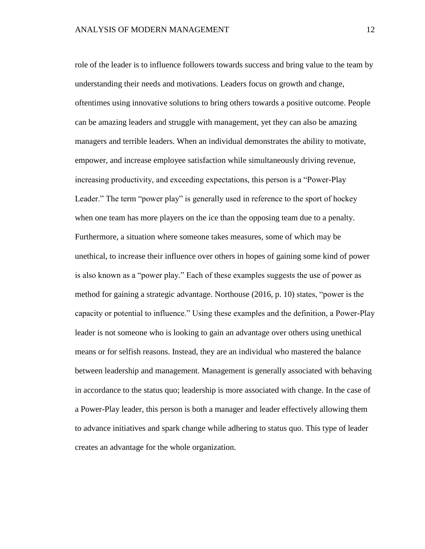role of the leader is to influence followers towards success and bring value to the team by understanding their needs and motivations. Leaders focus on growth and change, oftentimes using innovative solutions to bring others towards a positive outcome. People can be amazing leaders and struggle with management, yet they can also be amazing managers and terrible leaders. When an individual demonstrates the ability to motivate, empower, and increase employee satisfaction while simultaneously driving revenue, increasing productivity, and exceeding expectations, this person is a "Power-Play Leader." The term "power play" is generally used in reference to the sport of hockey when one team has more players on the ice than the opposing team due to a penalty. Furthermore, a situation where someone takes measures, some of which may be unethical, to increase their influence over others in hopes of gaining some kind of power is also known as a "power play." Each of these examples suggests the use of power as method for gaining a strategic advantage. Northouse (2016, p. 10) states, "power is the capacity or potential to influence." Using these examples and the definition, a Power-Play leader is not someone who is looking to gain an advantage over others using unethical means or for selfish reasons. Instead, they are an individual who mastered the balance between leadership and management. Management is generally associated with behaving in accordance to the status quo; leadership is more associated with change. In the case of a Power-Play leader, this person is both a manager and leader effectively allowing them to advance initiatives and spark change while adhering to status quo. This type of leader creates an advantage for the whole organization.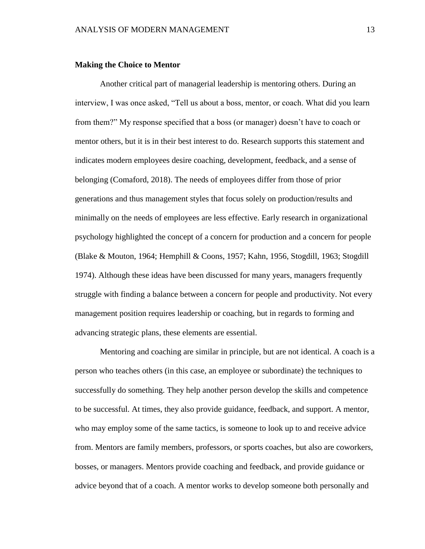### **Making the Choice to Mentor**

Another critical part of managerial leadership is mentoring others. During an interview, I was once asked, "Tell us about a boss, mentor, or coach. What did you learn from them?" My response specified that a boss (or manager) doesn't have to coach or mentor others, but it is in their best interest to do. Research supports this statement and indicates modern employees desire coaching, development, feedback, and a sense of belonging (Comaford, 2018). The needs of employees differ from those of prior generations and thus management styles that focus solely on production/results and minimally on the needs of employees are less effective. Early research in organizational psychology highlighted the concept of a concern for production and a concern for people (Blake & Mouton, 1964; Hemphill & Coons, 1957; Kahn, 1956, Stogdill, 1963; Stogdill 1974). Although these ideas have been discussed for many years, managers frequently struggle with finding a balance between a concern for people and productivity. Not every management position requires leadership or coaching, but in regards to forming and advancing strategic plans, these elements are essential.

Mentoring and coaching are similar in principle, but are not identical. A coach is a person who teaches others (in this case, an employee or subordinate) the techniques to successfully do something. They help another person develop the skills and competence to be successful. At times, they also provide guidance, feedback, and support. A mentor, who may employ some of the same tactics, is someone to look up to and receive advice from. Mentors are family members, professors, or sports coaches, but also are coworkers, bosses, or managers. Mentors provide coaching and feedback, and provide guidance or advice beyond that of a coach. A mentor works to develop someone both personally and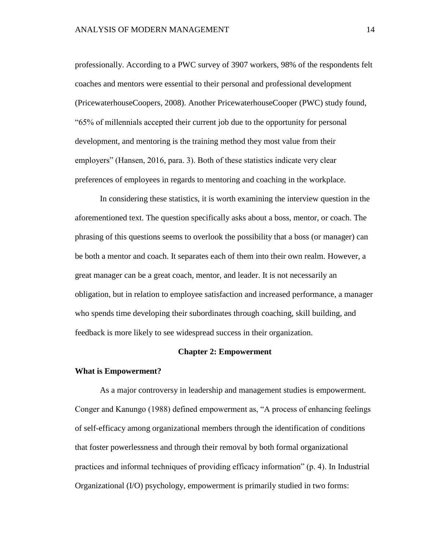professionally. According to a PWC survey of 3907 workers, 98% of the respondents felt coaches and mentors were essential to their personal and professional development (PricewaterhouseCoopers, 2008). Another PricewaterhouseCooper (PWC) study found, "65% of millennials accepted their current job due to the opportunity for personal development, and mentoring is the training method they most value from their employers" (Hansen, 2016, para. 3). Both of these statistics indicate very clear preferences of employees in regards to mentoring and coaching in the workplace.

In considering these statistics, it is worth examining the interview question in the aforementioned text. The question specifically asks about a boss, mentor, or coach. The phrasing of this questions seems to overlook the possibility that a boss (or manager) can be both a mentor and coach. It separates each of them into their own realm. However, a great manager can be a great coach, mentor, and leader. It is not necessarily an obligation, but in relation to employee satisfaction and increased performance, a manager who spends time developing their subordinates through coaching, skill building, and feedback is more likely to see widespread success in their organization.

# **Chapter 2: Empowerment**

## **What is Empowerment?**

As a major controversy in leadership and management studies is empowerment. Conger and Kanungo (1988) defined empowerment as, "A process of enhancing feelings of self-efficacy among organizational members through the identification of conditions that foster powerlessness and through their removal by both formal organizational practices and informal techniques of providing efficacy information" (p. 4). In Industrial Organizational (I/O) psychology, empowerment is primarily studied in two forms: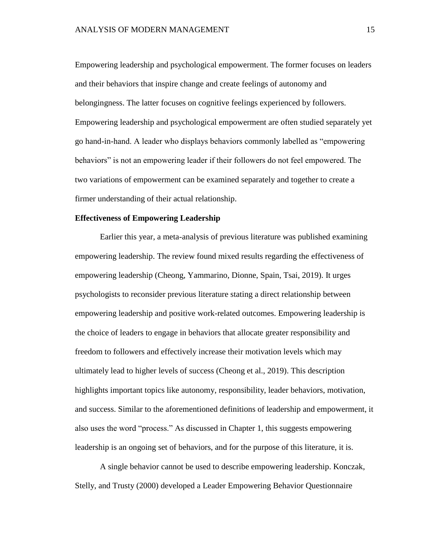Empowering leadership and psychological empowerment. The former focuses on leaders and their behaviors that inspire change and create feelings of autonomy and belongingness. The latter focuses on cognitive feelings experienced by followers. Empowering leadership and psychological empowerment are often studied separately yet go hand-in-hand. A leader who displays behaviors commonly labelled as "empowering behaviors" is not an empowering leader if their followers do not feel empowered. The two variations of empowerment can be examined separately and together to create a firmer understanding of their actual relationship.

## **Effectiveness of Empowering Leadership**

Earlier this year, a meta-analysis of previous literature was published examining empowering leadership. The review found mixed results regarding the effectiveness of empowering leadership (Cheong, Yammarino, Dionne, Spain, Tsai, 2019). It urges psychologists to reconsider previous literature stating a direct relationship between empowering leadership and positive work-related outcomes. Empowering leadership is the choice of leaders to engage in behaviors that allocate greater responsibility and freedom to followers and effectively increase their motivation levels which may ultimately lead to higher levels of success (Cheong et al., 2019). This description highlights important topics like autonomy, responsibility, leader behaviors, motivation, and success. Similar to the aforementioned definitions of leadership and empowerment, it also uses the word "process." As discussed in Chapter 1, this suggests empowering leadership is an ongoing set of behaviors, and for the purpose of this literature, it is.

A single behavior cannot be used to describe empowering leadership. Konczak, Stelly, and Trusty (2000) developed a Leader Empowering Behavior Questionnaire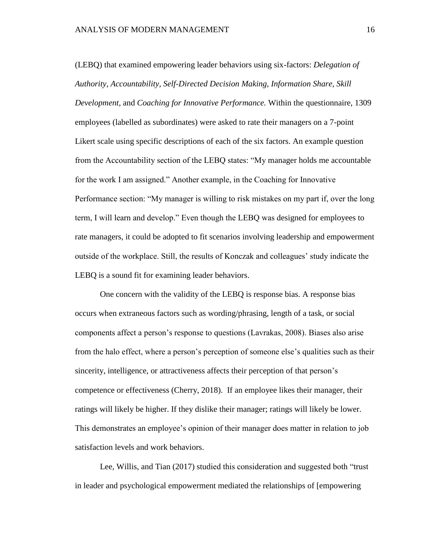(LEBQ) that examined empowering leader behaviors using six-factors: *Delegation of Authority, Accountability, Self-Directed Decision Making, Information Share, Skill Development,* and *Coaching for Innovative Performance.* Within the questionnaire, 1309 employees (labelled as subordinates) were asked to rate their managers on a 7-point Likert scale using specific descriptions of each of the six factors. An example question from the Accountability section of the LEBQ states: "My manager holds me accountable for the work I am assigned." Another example, in the Coaching for Innovative Performance section: "My manager is willing to risk mistakes on my part if, over the long term, I will learn and develop." Even though the LEBQ was designed for employees to rate managers, it could be adopted to fit scenarios involving leadership and empowerment outside of the workplace. Still, the results of Konczak and colleagues' study indicate the LEBQ is a sound fit for examining leader behaviors.

One concern with the validity of the LEBQ is response bias. A response bias occurs when extraneous factors such as wording/phrasing, length of a task, or social components affect a person's response to questions (Lavrakas, 2008). Biases also arise from the halo effect, where a person's perception of someone else's qualities such as their sincerity, intelligence, or attractiveness affects their perception of that person's competence or effectiveness (Cherry, 2018). If an employee likes their manager, their ratings will likely be higher. If they dislike their manager; ratings will likely be lower. This demonstrates an employee's opinion of their manager does matter in relation to job satisfaction levels and work behaviors.

Lee, Willis, and Tian (2017) studied this consideration and suggested both "trust in leader and psychological empowerment mediated the relationships of [empowering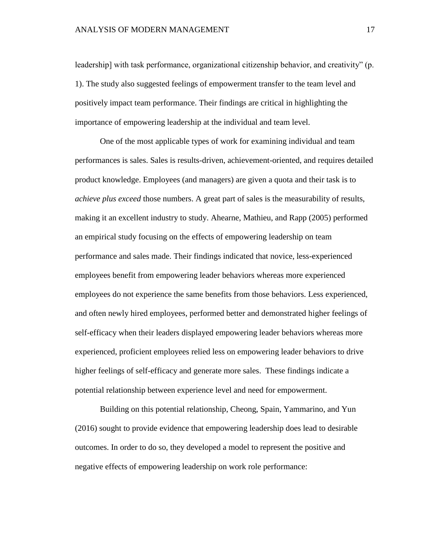leadership] with task performance, organizational citizenship behavior, and creativity" (p. 1). The study also suggested feelings of empowerment transfer to the team level and positively impact team performance. Their findings are critical in highlighting the importance of empowering leadership at the individual and team level.

One of the most applicable types of work for examining individual and team performances is sales. Sales is results-driven, achievement-oriented, and requires detailed product knowledge. Employees (and managers) are given a quota and their task is to *achieve plus exceed* those numbers. A great part of sales is the measurability of results, making it an excellent industry to study. Ahearne, Mathieu, and Rapp (2005) performed an empirical study focusing on the effects of empowering leadership on team performance and sales made. Their findings indicated that novice, less-experienced employees benefit from empowering leader behaviors whereas more experienced employees do not experience the same benefits from those behaviors. Less experienced, and often newly hired employees, performed better and demonstrated higher feelings of self-efficacy when their leaders displayed empowering leader behaviors whereas more experienced, proficient employees relied less on empowering leader behaviors to drive higher feelings of self-efficacy and generate more sales. These findings indicate a potential relationship between experience level and need for empowerment.

Building on this potential relationship, Cheong, Spain, Yammarino, and Yun (2016) sought to provide evidence that empowering leadership does lead to desirable outcomes. In order to do so, they developed a model to represent the positive and negative effects of empowering leadership on work role performance: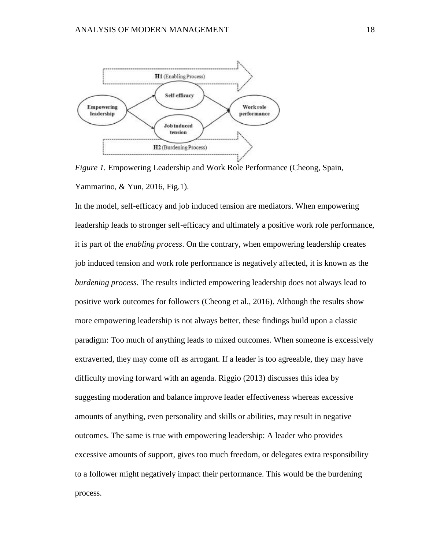

*Figure 1.* Empowering Leadership and Work Role Performance (Cheong, Spain, Yammarino, & Yun, 2016, Fig.1).

In the model, self-efficacy and job induced tension are mediators. When empowering leadership leads to stronger self-efficacy and ultimately a positive work role performance, it is part of the *enabling process*. On the contrary, when empowering leadership creates job induced tension and work role performance is negatively affected, it is known as the *burdening process*. The results indicted empowering leadership does not always lead to positive work outcomes for followers (Cheong et al., 2016). Although the results show more empowering leadership is not always better, these findings build upon a classic paradigm: Too much of anything leads to mixed outcomes. When someone is excessively extraverted, they may come off as arrogant. If a leader is too agreeable, they may have difficulty moving forward with an agenda. Riggio (2013) discusses this idea by suggesting moderation and balance improve leader effectiveness whereas excessive amounts of anything, even personality and skills or abilities, may result in negative outcomes. The same is true with empowering leadership: A leader who provides excessive amounts of support, gives too much freedom, or delegates extra responsibility to a follower might negatively impact their performance. This would be the burdening process.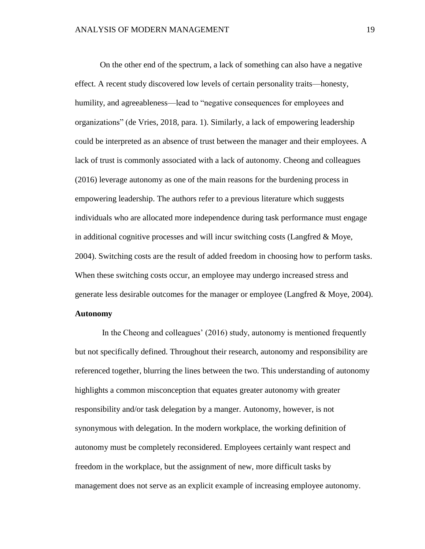On the other end of the spectrum, a lack of something can also have a negative effect. A recent study discovered low levels of certain personality traits—honesty, humility, and agreeableness—lead to "negative consequences for employees and organizations" (de Vries, 2018, para. 1). Similarly, a lack of empowering leadership could be interpreted as an absence of trust between the manager and their employees. A lack of trust is commonly associated with a lack of autonomy. Cheong and colleagues (2016) leverage autonomy as one of the main reasons for the burdening process in empowering leadership. The authors refer to a previous literature which suggests individuals who are allocated more independence during task performance must engage in additional cognitive processes and will incur switching costs (Langfred & Moye, 2004). Switching costs are the result of added freedom in choosing how to perform tasks. When these switching costs occur, an employee may undergo increased stress and generate less desirable outcomes for the manager or employee (Langfred & Moye, 2004).

# **Autonomy**

In the Cheong and colleagues' (2016) study, autonomy is mentioned frequently but not specifically defined. Throughout their research, autonomy and responsibility are referenced together, blurring the lines between the two. This understanding of autonomy highlights a common misconception that equates greater autonomy with greater responsibility and/or task delegation by a manger. Autonomy, however, is not synonymous with delegation. In the modern workplace, the working definition of autonomy must be completely reconsidered. Employees certainly want respect and freedom in the workplace, but the assignment of new, more difficult tasks by management does not serve as an explicit example of increasing employee autonomy.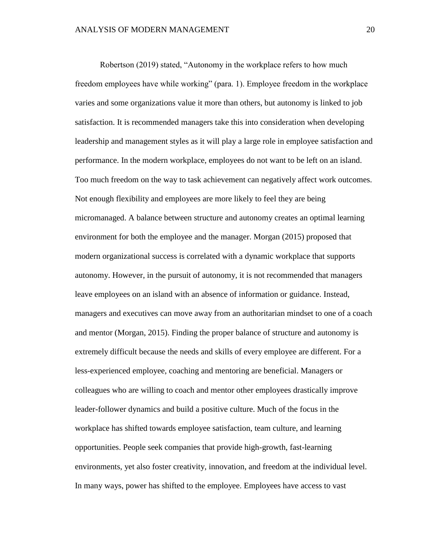Robertson (2019) stated, "Autonomy in the workplace refers to how much freedom employees have while working" (para. 1). Employee freedom in the workplace varies and some organizations value it more than others, but autonomy is linked to job satisfaction. It is recommended managers take this into consideration when developing leadership and management styles as it will play a large role in employee satisfaction and performance. In the modern workplace, employees do not want to be left on an island. Too much freedom on the way to task achievement can negatively affect work outcomes. Not enough flexibility and employees are more likely to feel they are being micromanaged. A balance between structure and autonomy creates an optimal learning environment for both the employee and the manager. Morgan (2015) proposed that modern organizational success is correlated with a dynamic workplace that supports autonomy. However, in the pursuit of autonomy, it is not recommended that managers leave employees on an island with an absence of information or guidance. Instead, managers and executives can move away from an authoritarian mindset to one of a coach and mentor (Morgan, 2015). Finding the proper balance of structure and autonomy is extremely difficult because the needs and skills of every employee are different. For a less-experienced employee, coaching and mentoring are beneficial. Managers or colleagues who are willing to coach and mentor other employees drastically improve leader-follower dynamics and build a positive culture. Much of the focus in the workplace has shifted towards employee satisfaction, team culture, and learning opportunities. People seek companies that provide high-growth, fast-learning environments, yet also foster creativity, innovation, and freedom at the individual level. In many ways, power has shifted to the employee. Employees have access to vast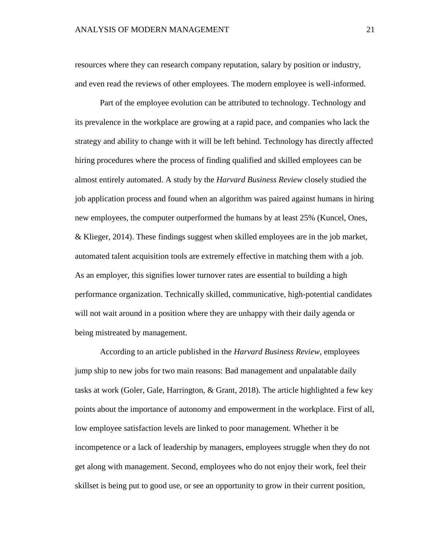resources where they can research company reputation, salary by position or industry, and even read the reviews of other employees. The modern employee is well-informed.

Part of the employee evolution can be attributed to technology. Technology and its prevalence in the workplace are growing at a rapid pace, and companies who lack the strategy and ability to change with it will be left behind. Technology has directly affected hiring procedures where the process of finding qualified and skilled employees can be almost entirely automated. A study by the *Harvard Business Review* closely studied the job application process and found when an algorithm was paired against humans in hiring new employees, the computer outperformed the humans by at least 25% (Kuncel, Ones, & Klieger, 2014). These findings suggest when skilled employees are in the job market, automated talent acquisition tools are extremely effective in matching them with a job. As an employer, this signifies lower turnover rates are essential to building a high performance organization. Technically skilled, communicative, high-potential candidates will not wait around in a position where they are unhappy with their daily agenda or being mistreated by management.

According to an article published in the *Harvard Business Review*, employees jump ship to new jobs for two main reasons: Bad management and unpalatable daily tasks at work (Goler, Gale, Harrington, & Grant, 2018). The article highlighted a few key points about the importance of autonomy and empowerment in the workplace. First of all, low employee satisfaction levels are linked to poor management. Whether it be incompetence or a lack of leadership by managers, employees struggle when they do not get along with management. Second, employees who do not enjoy their work, feel their skillset is being put to good use, or see an opportunity to grow in their current position,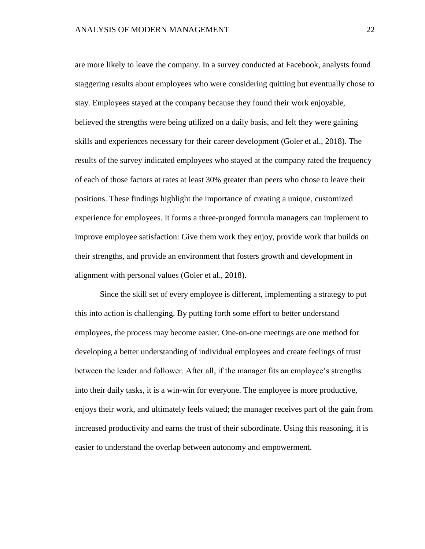are more likely to leave the company. In a survey conducted at Facebook, analysts found staggering results about employees who were considering quitting but eventually chose to stay. Employees stayed at the company because they found their work enjoyable, believed the strengths were being utilized on a daily basis, and felt they were gaining skills and experiences necessary for their career development (Goler et al., 2018). The results of the survey indicated employees who stayed at the company rated the frequency of each of those factors at rates at least 30% greater than peers who chose to leave their positions. These findings highlight the importance of creating a unique, customized experience for employees. It forms a three-pronged formula managers can implement to improve employee satisfaction: Give them work they enjoy, provide work that builds on their strengths, and provide an environment that fosters growth and development in alignment with personal values (Goler et al., 2018).

Since the skill set of every employee is different, implementing a strategy to put this into action is challenging. By putting forth some effort to better understand employees, the process may become easier. One-on-one meetings are one method for developing a better understanding of individual employees and create feelings of trust between the leader and follower. After all, if the manager fits an employee's strengths into their daily tasks, it is a win-win for everyone. The employee is more productive, enjoys their work, and ultimately feels valued; the manager receives part of the gain from increased productivity and earns the trust of their subordinate. Using this reasoning, it is easier to understand the overlap between autonomy and empowerment.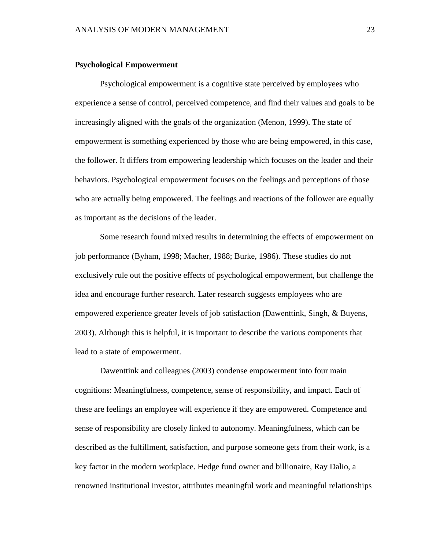### **Psychological Empowerment**

Psychological empowerment is a cognitive state perceived by employees who experience a sense of control, perceived competence, and find their values and goals to be increasingly aligned with the goals of the organization (Menon, 1999). The state of empowerment is something experienced by those who are being empowered, in this case, the follower. It differs from empowering leadership which focuses on the leader and their behaviors. Psychological empowerment focuses on the feelings and perceptions of those who are actually being empowered. The feelings and reactions of the follower are equally as important as the decisions of the leader.

Some research found mixed results in determining the effects of empowerment on job performance (Byham, 1998; Macher, 1988; Burke, 1986). These studies do not exclusively rule out the positive effects of psychological empowerment, but challenge the idea and encourage further research. Later research suggests employees who are empowered experience greater levels of job satisfaction (Dawenttink, Singh, & Buyens, 2003). Although this is helpful, it is important to describe the various components that lead to a state of empowerment.

Dawenttink and colleagues (2003) condense empowerment into four main cognitions: Meaningfulness, competence, sense of responsibility, and impact. Each of these are feelings an employee will experience if they are empowered. Competence and sense of responsibility are closely linked to autonomy. Meaningfulness, which can be described as the fulfillment, satisfaction, and purpose someone gets from their work, is a key factor in the modern workplace. Hedge fund owner and billionaire, Ray Dalio, a renowned institutional investor, attributes meaningful work and meaningful relationships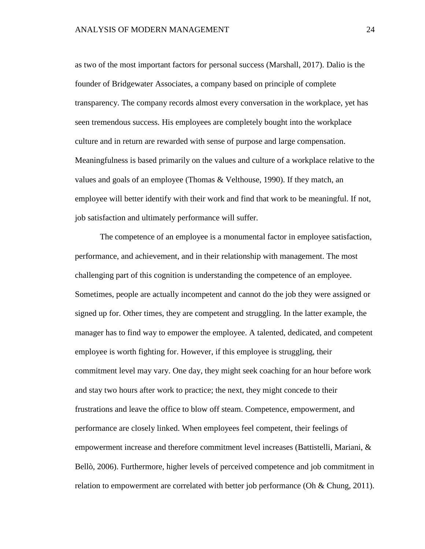as two of the most important factors for personal success (Marshall, 2017). Dalio is the founder of Bridgewater Associates, a company based on principle of complete transparency. The company records almost every conversation in the workplace, yet has seen tremendous success. His employees are completely bought into the workplace culture and in return are rewarded with sense of purpose and large compensation. Meaningfulness is based primarily on the values and culture of a workplace relative to the values and goals of an employee (Thomas & Velthouse, 1990). If they match, an employee will better identify with their work and find that work to be meaningful. If not, job satisfaction and ultimately performance will suffer.

The competence of an employee is a monumental factor in employee satisfaction, performance, and achievement, and in their relationship with management. The most challenging part of this cognition is understanding the competence of an employee. Sometimes, people are actually incompetent and cannot do the job they were assigned or signed up for. Other times, they are competent and struggling. In the latter example, the manager has to find way to empower the employee. A talented, dedicated, and competent employee is worth fighting for. However, if this employee is struggling, their commitment level may vary. One day, they might seek coaching for an hour before work and stay two hours after work to practice; the next, they might concede to their frustrations and leave the office to blow off steam. Competence, empowerment, and performance are closely linked. When employees feel competent, their feelings of empowerment increase and therefore commitment level increases (Battistelli, Mariani, & Bellò, 2006). Furthermore, higher levels of perceived competence and job commitment in relation to empowerment are correlated with better job performance (Oh & Chung, 2011).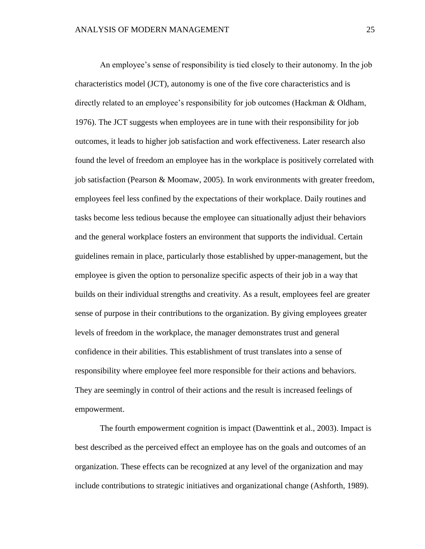An employee's sense of responsibility is tied closely to their autonomy. In the job characteristics model (JCT), autonomy is one of the five core characteristics and is directly related to an employee's responsibility for job outcomes (Hackman & Oldham, 1976). The JCT suggests when employees are in tune with their responsibility for job outcomes, it leads to higher job satisfaction and work effectiveness. Later research also found the level of freedom an employee has in the workplace is positively correlated with job satisfaction (Pearson & Moomaw, 2005). In work environments with greater freedom, employees feel less confined by the expectations of their workplace. Daily routines and tasks become less tedious because the employee can situationally adjust their behaviors and the general workplace fosters an environment that supports the individual. Certain guidelines remain in place, particularly those established by upper-management, but the employee is given the option to personalize specific aspects of their job in a way that builds on their individual strengths and creativity. As a result, employees feel are greater sense of purpose in their contributions to the organization. By giving employees greater levels of freedom in the workplace, the manager demonstrates trust and general confidence in their abilities. This establishment of trust translates into a sense of responsibility where employee feel more responsible for their actions and behaviors. They are seemingly in control of their actions and the result is increased feelings of empowerment.

The fourth empowerment cognition is impact (Dawenttink et al., 2003). Impact is best described as the perceived effect an employee has on the goals and outcomes of an organization. These effects can be recognized at any level of the organization and may include contributions to strategic initiatives and organizational change (Ashforth, 1989).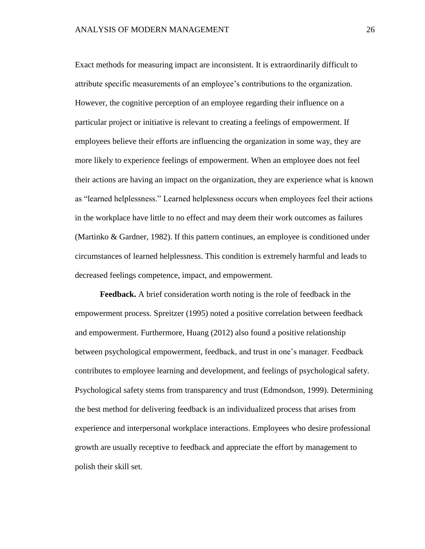Exact methods for measuring impact are inconsistent. It is extraordinarily difficult to attribute specific measurements of an employee's contributions to the organization. However, the cognitive perception of an employee regarding their influence on a particular project or initiative is relevant to creating a feelings of empowerment. If employees believe their efforts are influencing the organization in some way, they are more likely to experience feelings of empowerment. When an employee does not feel their actions are having an impact on the organization, they are experience what is known as "learned helplessness." Learned helplessness occurs when employees feel their actions in the workplace have little to no effect and may deem their work outcomes as failures (Martinko & Gardner, 1982). If this pattern continues, an employee is conditioned under circumstances of learned helplessness. This condition is extremely harmful and leads to decreased feelings competence, impact, and empowerment.

**Feedback.** A brief consideration worth noting is the role of feedback in the empowerment process. Spreitzer (1995) noted a positive correlation between feedback and empowerment. Furthermore, Huang (2012) also found a positive relationship between psychological empowerment, feedback, and trust in one's manager. Feedback contributes to employee learning and development, and feelings of psychological safety. Psychological safety stems from transparency and trust (Edmondson, 1999). Determining the best method for delivering feedback is an individualized process that arises from experience and interpersonal workplace interactions. Employees who desire professional growth are usually receptive to feedback and appreciate the effort by management to polish their skill set.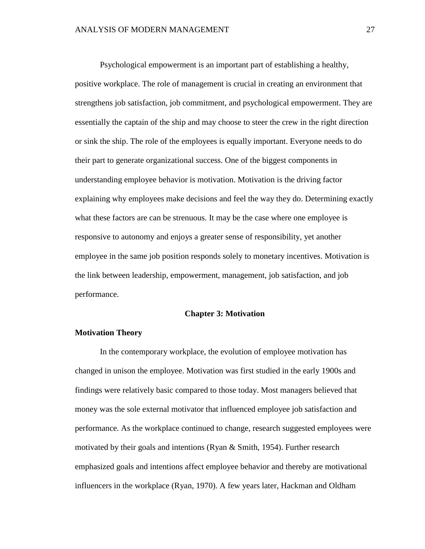Psychological empowerment is an important part of establishing a healthy, positive workplace. The role of management is crucial in creating an environment that strengthens job satisfaction, job commitment, and psychological empowerment. They are essentially the captain of the ship and may choose to steer the crew in the right direction or sink the ship. The role of the employees is equally important. Everyone needs to do their part to generate organizational success. One of the biggest components in understanding employee behavior is motivation. Motivation is the driving factor explaining why employees make decisions and feel the way they do. Determining exactly what these factors are can be strenuous. It may be the case where one employee is responsive to autonomy and enjoys a greater sense of responsibility, yet another employee in the same job position responds solely to monetary incentives. Motivation is the link between leadership, empowerment, management, job satisfaction, and job performance.

### **Chapter 3: Motivation**

### **Motivation Theory**

In the contemporary workplace, the evolution of employee motivation has changed in unison the employee. Motivation was first studied in the early 1900s and findings were relatively basic compared to those today. Most managers believed that money was the sole external motivator that influenced employee job satisfaction and performance. As the workplace continued to change, research suggested employees were motivated by their goals and intentions (Ryan & Smith, 1954). Further research emphasized goals and intentions affect employee behavior and thereby are motivational influencers in the workplace (Ryan, 1970). A few years later, Hackman and Oldham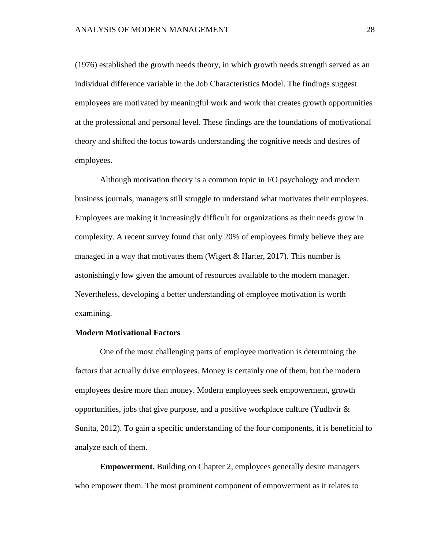(1976) established the growth needs theory, in which growth needs strength served as an individual difference variable in the Job Characteristics Model. The findings suggest employees are motivated by meaningful work and work that creates growth opportunities at the professional and personal level. These findings are the foundations of motivational theory and shifted the focus towards understanding the cognitive needs and desires of employees.

Although motivation theory is a common topic in I/O psychology and modern business journals, managers still struggle to understand what motivates their employees. Employees are making it increasingly difficult for organizations as their needs grow in complexity. A recent survey found that only 20% of employees firmly believe they are managed in a way that motivates them (Wigert  $&$  Harter, 2017). This number is astonishingly low given the amount of resources available to the modern manager. Nevertheless, developing a better understanding of employee motivation is worth examining.

### **Modern Motivational Factors**

One of the most challenging parts of employee motivation is determining the factors that actually drive employees. Money is certainly one of them, but the modern employees desire more than money. Modern employees seek empowerment, growth opportunities, jobs that give purpose, and a positive workplace culture (Yudhvir & Sunita, 2012). To gain a specific understanding of the four components, it is beneficial to analyze each of them.

**Empowerment.** Building on Chapter 2, employees generally desire managers who empower them. The most prominent component of empowerment as it relates to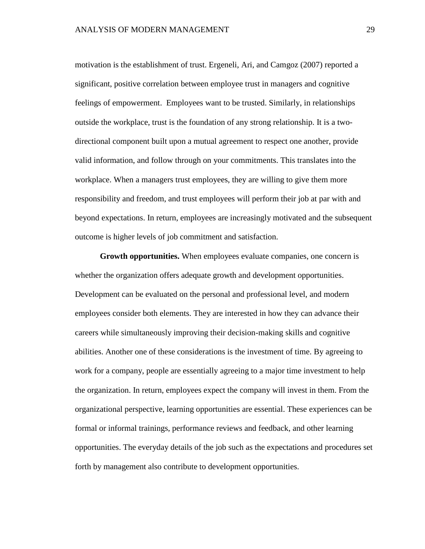motivation is the establishment of trust. Ergeneli, Ari, and Camgoz (2007) reported a significant, positive correlation between employee trust in managers and cognitive feelings of empowerment. Employees want to be trusted. Similarly, in relationships outside the workplace, trust is the foundation of any strong relationship. It is a twodirectional component built upon a mutual agreement to respect one another, provide valid information, and follow through on your commitments. This translates into the workplace. When a managers trust employees, they are willing to give them more responsibility and freedom, and trust employees will perform their job at par with and beyond expectations. In return, employees are increasingly motivated and the subsequent outcome is higher levels of job commitment and satisfaction.

**Growth opportunities.** When employees evaluate companies, one concern is whether the organization offers adequate growth and development opportunities. Development can be evaluated on the personal and professional level, and modern employees consider both elements. They are interested in how they can advance their careers while simultaneously improving their decision-making skills and cognitive abilities. Another one of these considerations is the investment of time. By agreeing to work for a company, people are essentially agreeing to a major time investment to help the organization. In return, employees expect the company will invest in them. From the organizational perspective, learning opportunities are essential. These experiences can be formal or informal trainings, performance reviews and feedback, and other learning opportunities. The everyday details of the job such as the expectations and procedures set forth by management also contribute to development opportunities.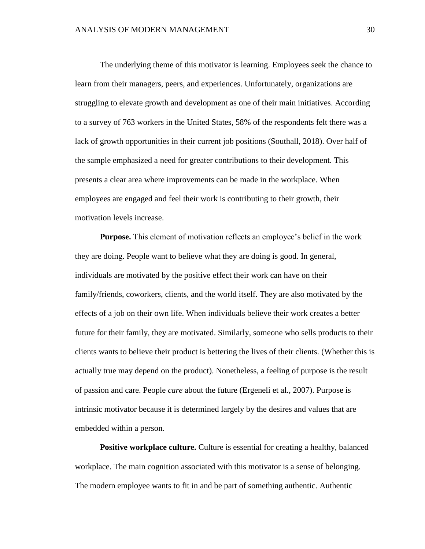The underlying theme of this motivator is learning. Employees seek the chance to learn from their managers, peers, and experiences. Unfortunately, organizations are struggling to elevate growth and development as one of their main initiatives. According to a survey of 763 workers in the United States, 58% of the respondents felt there was a lack of growth opportunities in their current job positions (Southall, 2018). Over half of the sample emphasized a need for greater contributions to their development. This presents a clear area where improvements can be made in the workplace. When employees are engaged and feel their work is contributing to their growth, their motivation levels increase.

**Purpose.** This element of motivation reflects an employee's belief in the work they are doing. People want to believe what they are doing is good. In general, individuals are motivated by the positive effect their work can have on their family/friends, coworkers, clients, and the world itself. They are also motivated by the effects of a job on their own life. When individuals believe their work creates a better future for their family, they are motivated. Similarly, someone who sells products to their clients wants to believe their product is bettering the lives of their clients. (Whether this is actually true may depend on the product). Nonetheless, a feeling of purpose is the result of passion and care. People *care* about the future (Ergeneli et al., 2007). Purpose is intrinsic motivator because it is determined largely by the desires and values that are embedded within a person.

**Positive workplace culture.** Culture is essential for creating a healthy, balanced workplace. The main cognition associated with this motivator is a sense of belonging. The modern employee wants to fit in and be part of something authentic. Authentic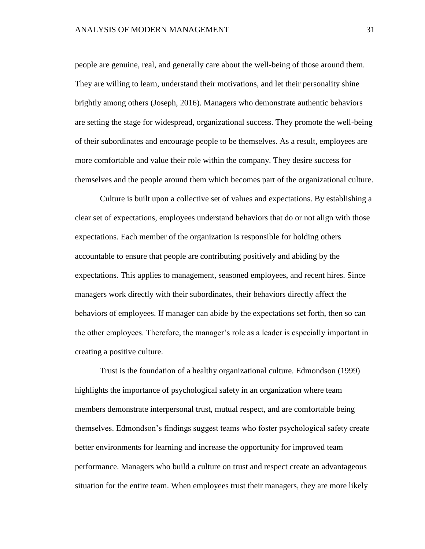people are genuine, real, and generally care about the well-being of those around them. They are willing to learn, understand their motivations, and let their personality shine brightly among others (Joseph, 2016). Managers who demonstrate authentic behaviors are setting the stage for widespread, organizational success. They promote the well-being of their subordinates and encourage people to be themselves. As a result, employees are more comfortable and value their role within the company. They desire success for themselves and the people around them which becomes part of the organizational culture.

Culture is built upon a collective set of values and expectations. By establishing a clear set of expectations, employees understand behaviors that do or not align with those expectations. Each member of the organization is responsible for holding others accountable to ensure that people are contributing positively and abiding by the expectations. This applies to management, seasoned employees, and recent hires. Since managers work directly with their subordinates, their behaviors directly affect the behaviors of employees. If manager can abide by the expectations set forth, then so can the other employees. Therefore, the manager's role as a leader is especially important in creating a positive culture.

Trust is the foundation of a healthy organizational culture. Edmondson (1999) highlights the importance of psychological safety in an organization where team members demonstrate interpersonal trust, mutual respect, and are comfortable being themselves. Edmondson's findings suggest teams who foster psychological safety create better environments for learning and increase the opportunity for improved team performance. Managers who build a culture on trust and respect create an advantageous situation for the entire team. When employees trust their managers, they are more likely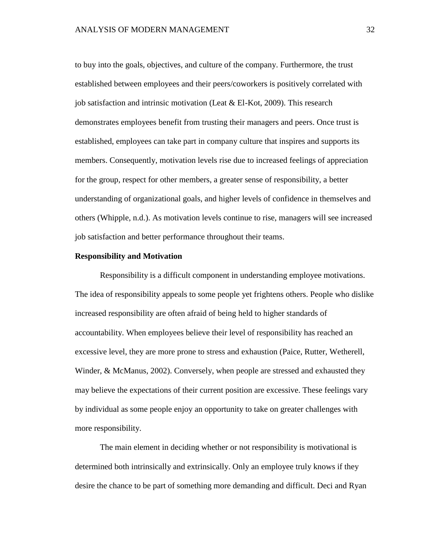to buy into the goals, objectives, and culture of the company. Furthermore, the trust established between employees and their peers/coworkers is positively correlated with job satisfaction and intrinsic motivation (Leat & El-Kot, 2009). This research demonstrates employees benefit from trusting their managers and peers. Once trust is established, employees can take part in company culture that inspires and supports its members. Consequently, motivation levels rise due to increased feelings of appreciation for the group, respect for other members, a greater sense of responsibility, a better understanding of organizational goals, and higher levels of confidence in themselves and others (Whipple, n.d.). As motivation levels continue to rise, managers will see increased job satisfaction and better performance throughout their teams.

### **Responsibility and Motivation**

Responsibility is a difficult component in understanding employee motivations. The idea of responsibility appeals to some people yet frightens others. People who dislike increased responsibility are often afraid of being held to higher standards of accountability. When employees believe their level of responsibility has reached an excessive level, they are more prone to stress and exhaustion (Paice, Rutter, Wetherell, Winder, & McManus, 2002). Conversely, when people are stressed and exhausted they may believe the expectations of their current position are excessive. These feelings vary by individual as some people enjoy an opportunity to take on greater challenges with more responsibility.

The main element in deciding whether or not responsibility is motivational is determined both intrinsically and extrinsically. Only an employee truly knows if they desire the chance to be part of something more demanding and difficult. Deci and Ryan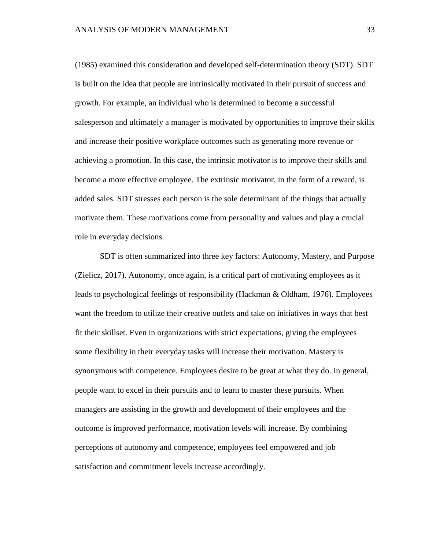(1985) examined this consideration and developed self-determination theory (SDT). SDT is built on the idea that people are intrinsically motivated in their pursuit of success and growth. For example, an individual who is determined to become a successful salesperson and ultimately a manager is motivated by opportunities to improve their skills and increase their positive workplace outcomes such as generating more revenue or achieving a promotion. In this case, the intrinsic motivator is to improve their skills and become a more effective employee. The extrinsic motivator, in the form of a reward, is added sales. SDT stresses each person is the sole determinant of the things that actually motivate them. These motivations come from personality and values and play a crucial role in everyday decisions.

SDT is often summarized into three key factors: Autonomy, Mastery, and Purpose (Zielicz, 2017). Autonomy, once again, is a critical part of motivating employees as it leads to psychological feelings of responsibility (Hackman & Oldham, 1976). Employees want the freedom to utilize their creative outlets and take on initiatives in ways that best fit their skillset. Even in organizations with strict expectations, giving the employees some flexibility in their everyday tasks will increase their motivation. Mastery is synonymous with competence. Employees desire to be great at what they do. In general, people want to excel in their pursuits and to learn to master these pursuits. When managers are assisting in the growth and development of their employees and the outcome is improved performance, motivation levels will increase. By combining perceptions of autonomy and competence, employees feel empowered and job satisfaction and commitment levels increase accordingly.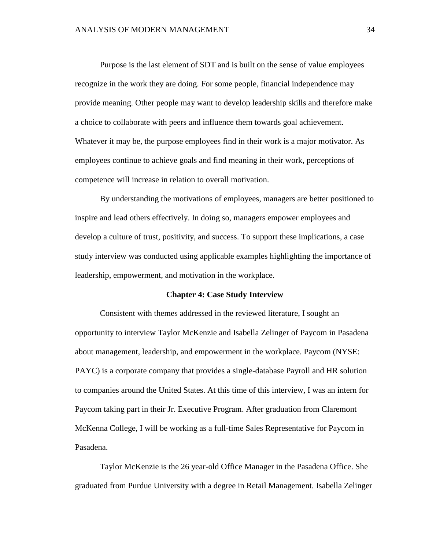Purpose is the last element of SDT and is built on the sense of value employees recognize in the work they are doing. For some people, financial independence may provide meaning. Other people may want to develop leadership skills and therefore make a choice to collaborate with peers and influence them towards goal achievement. Whatever it may be, the purpose employees find in their work is a major motivator. As employees continue to achieve goals and find meaning in their work, perceptions of competence will increase in relation to overall motivation.

By understanding the motivations of employees, managers are better positioned to inspire and lead others effectively. In doing so, managers empower employees and develop a culture of trust, positivity, and success. To support these implications, a case study interview was conducted using applicable examples highlighting the importance of leadership, empowerment, and motivation in the workplace.

#### **Chapter 4: Case Study Interview**

Consistent with themes addressed in the reviewed literature, I sought an opportunity to interview Taylor McKenzie and Isabella Zelinger of Paycom in Pasadena about management, leadership, and empowerment in the workplace. Paycom (NYSE: PAYC) is a corporate company that provides a single-database Payroll and HR solution to companies around the United States. At this time of this interview, I was an intern for Paycom taking part in their Jr. Executive Program. After graduation from Claremont McKenna College, I will be working as a full-time Sales Representative for Paycom in Pasadena.

Taylor McKenzie is the 26 year-old Office Manager in the Pasadena Office. She graduated from Purdue University with a degree in Retail Management. Isabella Zelinger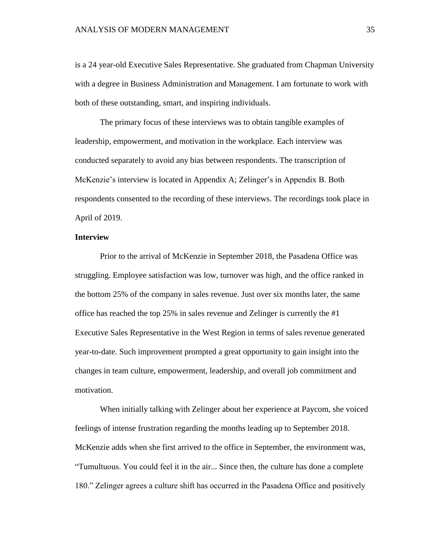is a 24 year-old Executive Sales Representative. She graduated from Chapman University with a degree in Business Administration and Management. I am fortunate to work with both of these outstanding, smart, and inspiring individuals.

The primary focus of these interviews was to obtain tangible examples of leadership, empowerment, and motivation in the workplace. Each interview was conducted separately to avoid any bias between respondents. The transcription of McKenzie's interview is located in Appendix A; Zelinger's in Appendix B. Both respondents consented to the recording of these interviews. The recordings took place in April of 2019.

# **Interview**

Prior to the arrival of McKenzie in September 2018, the Pasadena Office was struggling. Employee satisfaction was low, turnover was high, and the office ranked in the bottom 25% of the company in sales revenue. Just over six months later, the same office has reached the top 25% in sales revenue and Zelinger is currently the #1 Executive Sales Representative in the West Region in terms of sales revenue generated year-to-date. Such improvement prompted a great opportunity to gain insight into the changes in team culture, empowerment, leadership, and overall job commitment and motivation.

When initially talking with Zelinger about her experience at Paycom, she voiced feelings of intense frustration regarding the months leading up to September 2018. McKenzie adds when she first arrived to the office in September, the environment was, "Tumultuous. You could feel it in the air... Since then, the culture has done a complete 180." Zelinger agrees a culture shift has occurred in the Pasadena Office and positively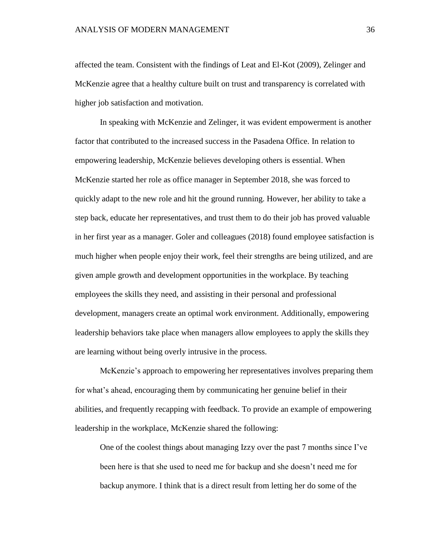affected the team. Consistent with the findings of Leat and El-Kot (2009), Zelinger and McKenzie agree that a healthy culture built on trust and transparency is correlated with higher job satisfaction and motivation.

In speaking with McKenzie and Zelinger, it was evident empowerment is another factor that contributed to the increased success in the Pasadena Office. In relation to empowering leadership, McKenzie believes developing others is essential. When McKenzie started her role as office manager in September 2018, she was forced to quickly adapt to the new role and hit the ground running. However, her ability to take a step back, educate her representatives, and trust them to do their job has proved valuable in her first year as a manager. Goler and colleagues (2018) found employee satisfaction is much higher when people enjoy their work, feel their strengths are being utilized, and are given ample growth and development opportunities in the workplace. By teaching employees the skills they need, and assisting in their personal and professional development, managers create an optimal work environment. Additionally, empowering leadership behaviors take place when managers allow employees to apply the skills they are learning without being overly intrusive in the process.

McKenzie's approach to empowering her representatives involves preparing them for what's ahead, encouraging them by communicating her genuine belief in their abilities, and frequently recapping with feedback. To provide an example of empowering leadership in the workplace, McKenzie shared the following:

One of the coolest things about managing Izzy over the past 7 months since I've been here is that she used to need me for backup and she doesn't need me for backup anymore. I think that is a direct result from letting her do some of the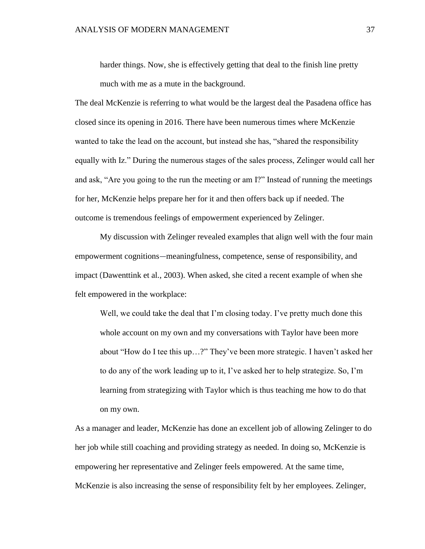harder things. Now, she is effectively getting that deal to the finish line pretty much with me as a mute in the background.

The deal McKenzie is referring to what would be the largest deal the Pasadena office has closed since its opening in 2016. There have been numerous times where McKenzie wanted to take the lead on the account, but instead she has, "shared the responsibility equally with Iz." During the numerous stages of the sales process, Zelinger would call her and ask, "Are you going to the run the meeting or am I?" Instead of running the meetings for her, McKenzie helps prepare her for it and then offers back up if needed. The outcome is tremendous feelings of empowerment experienced by Zelinger.

My discussion with Zelinger revealed examples that align well with the four main empowerment cognitions—meaningfulness, competence, sense of responsibility, and impact (Dawenttink et al., 2003). When asked, she cited a recent example of when she felt empowered in the workplace:

Well, we could take the deal that I'm closing today. I've pretty much done this whole account on my own and my conversations with Taylor have been more about "How do I tee this up…?" They've been more strategic. I haven't asked her to do any of the work leading up to it, I've asked her to help strategize. So, I'm learning from strategizing with Taylor which is thus teaching me how to do that on my own.

As a manager and leader, McKenzie has done an excellent job of allowing Zelinger to do her job while still coaching and providing strategy as needed. In doing so, McKenzie is empowering her representative and Zelinger feels empowered. At the same time, McKenzie is also increasing the sense of responsibility felt by her employees. Zelinger,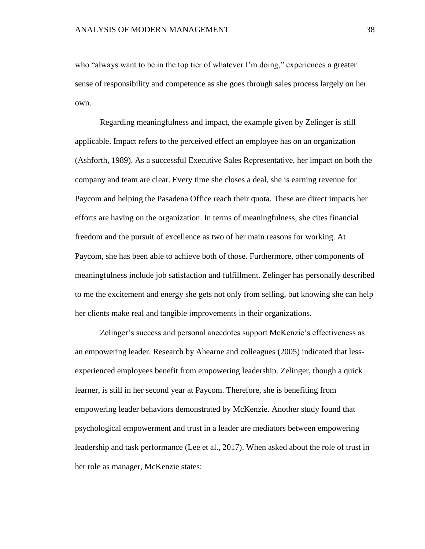who "always want to be in the top tier of whatever I'm doing," experiences a greater sense of responsibility and competence as she goes through sales process largely on her own.

Regarding meaningfulness and impact, the example given by Zelinger is still applicable. Impact refers to the perceived effect an employee has on an organization (Ashforth, 1989). As a successful Executive Sales Representative, her impact on both the company and team are clear. Every time she closes a deal, she is earning revenue for Paycom and helping the Pasadena Office reach their quota. These are direct impacts her efforts are having on the organization. In terms of meaningfulness, she cites financial freedom and the pursuit of excellence as two of her main reasons for working. At Paycom, she has been able to achieve both of those. Furthermore, other components of meaningfulness include job satisfaction and fulfillment. Zelinger has personally described to me the excitement and energy she gets not only from selling, but knowing she can help her clients make real and tangible improvements in their organizations.

Zelinger's success and personal anecdotes support McKenzie's effectiveness as an empowering leader. Research by Ahearne and colleagues (2005) indicated that lessexperienced employees benefit from empowering leadership. Zelinger, though a quick learner, is still in her second year at Paycom. Therefore, she is benefiting from empowering leader behaviors demonstrated by McKenzie. Another study found that psychological empowerment and trust in a leader are mediators between empowering leadership and task performance (Lee et al., 2017). When asked about the role of trust in her role as manager, McKenzie states: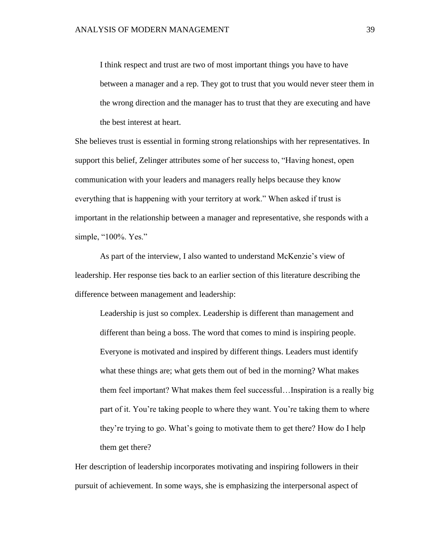I think respect and trust are two of most important things you have to have between a manager and a rep. They got to trust that you would never steer them in the wrong direction and the manager has to trust that they are executing and have the best interest at heart.

She believes trust is essential in forming strong relationships with her representatives. In support this belief, Zelinger attributes some of her success to, "Having honest, open communication with your leaders and managers really helps because they know everything that is happening with your territory at work." When asked if trust is important in the relationship between a manager and representative, she responds with a simple, "100%. Yes."

As part of the interview, I also wanted to understand McKenzie's view of leadership. Her response ties back to an earlier section of this literature describing the difference between management and leadership:

Leadership is just so complex. Leadership is different than management and different than being a boss. The word that comes to mind is inspiring people. Everyone is motivated and inspired by different things. Leaders must identify what these things are; what gets them out of bed in the morning? What makes them feel important? What makes them feel successful…Inspiration is a really big part of it. You're taking people to where they want. You're taking them to where they're trying to go. What's going to motivate them to get there? How do I help them get there?

Her description of leadership incorporates motivating and inspiring followers in their pursuit of achievement. In some ways, she is emphasizing the interpersonal aspect of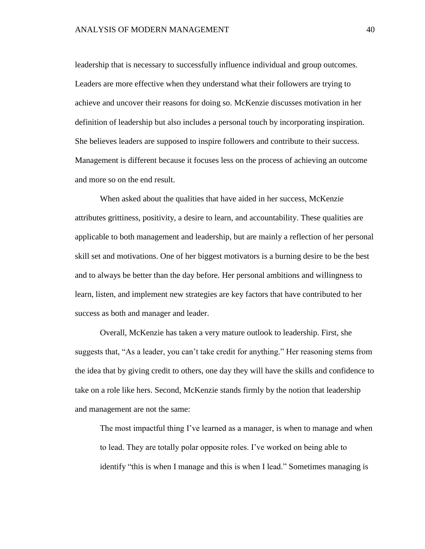leadership that is necessary to successfully influence individual and group outcomes. Leaders are more effective when they understand what their followers are trying to achieve and uncover their reasons for doing so. McKenzie discusses motivation in her definition of leadership but also includes a personal touch by incorporating inspiration. She believes leaders are supposed to inspire followers and contribute to their success. Management is different because it focuses less on the process of achieving an outcome and more so on the end result.

When asked about the qualities that have aided in her success, McKenzie attributes grittiness, positivity, a desire to learn, and accountability. These qualities are applicable to both management and leadership, but are mainly a reflection of her personal skill set and motivations. One of her biggest motivators is a burning desire to be the best and to always be better than the day before. Her personal ambitions and willingness to learn, listen, and implement new strategies are key factors that have contributed to her success as both and manager and leader.

Overall, McKenzie has taken a very mature outlook to leadership. First, she suggests that, "As a leader, you can't take credit for anything." Her reasoning stems from the idea that by giving credit to others, one day they will have the skills and confidence to take on a role like hers. Second, McKenzie stands firmly by the notion that leadership and management are not the same:

The most impactful thing I've learned as a manager, is when to manage and when to lead. They are totally polar opposite roles. I've worked on being able to identify "this is when I manage and this is when I lead." Sometimes managing is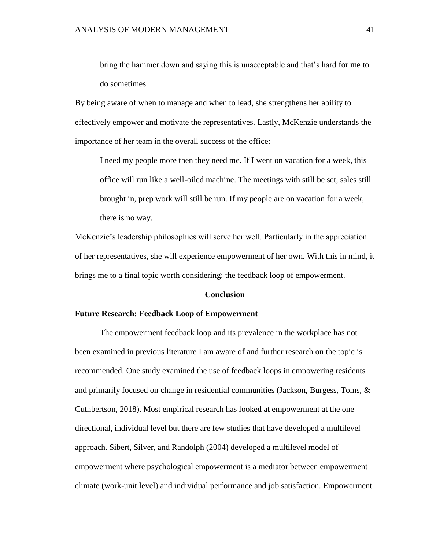bring the hammer down and saying this is unacceptable and that's hard for me to do sometimes.

By being aware of when to manage and when to lead, she strengthens her ability to effectively empower and motivate the representatives. Lastly, McKenzie understands the importance of her team in the overall success of the office:

I need my people more then they need me. If I went on vacation for a week, this office will run like a well-oiled machine. The meetings with still be set, sales still brought in, prep work will still be run. If my people are on vacation for a week, there is no way.

McKenzie's leadership philosophies will serve her well. Particularly in the appreciation of her representatives, she will experience empowerment of her own. With this in mind, it brings me to a final topic worth considering: the feedback loop of empowerment.

#### **Conclusion**

### **Future Research: Feedback Loop of Empowerment**

The empowerment feedback loop and its prevalence in the workplace has not been examined in previous literature I am aware of and further research on the topic is recommended. One study examined the use of feedback loops in empowering residents and primarily focused on change in residential communities (Jackson, Burgess, Toms, & Cuthbertson, 2018). Most empirical research has looked at empowerment at the one directional, individual level but there are few studies that have developed a multilevel approach. Sibert, Silver, and Randolph (2004) developed a multilevel model of empowerment where psychological empowerment is a mediator between empowerment climate (work-unit level) and individual performance and job satisfaction. Empowerment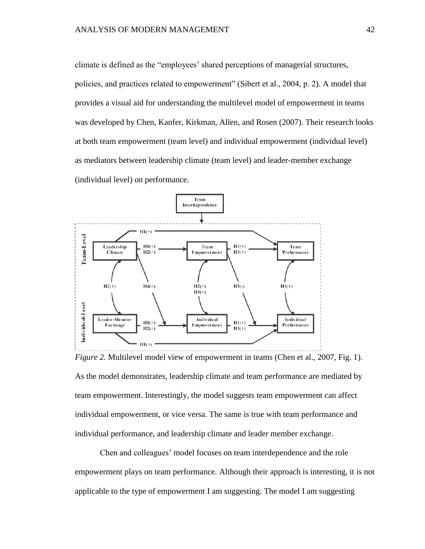climate is defined as the "employees' shared perceptions of managerial structures, policies, and practices related to empowerment" (Sibert et al., 2004, p. 2). A model that provides a visual aid for understanding the multilevel model of empowerment in teams was developed by Chen, Kanfer, Kirkman, Allen, and Rosen (2007). Their research looks at both team empowerment (team level) and individual empowerment (individual level) as mediators between leadership climate (team level) and leader-member exchange (individual level) on performance.



*Figure 2*. Multilevel model view of empowerment in teams (Chen et al., 2007, Fig. 1). As the model demonstrates, leadership climate and team performance are mediated by team empowerment. Interestingly, the model suggests team empowerment can affect individual empowerment, or vice versa. The same is true with team performance and individual performance, and leadership climate and leader member exchange.

Chen and colleagues' model focuses on team interdependence and the role empowerment plays on team performance. Although their approach is interesting, it is not applicable to the type of empowerment I am suggesting. The model I am suggesting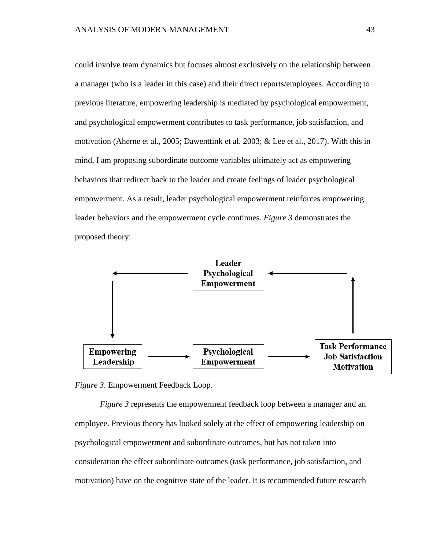could involve team dynamics but focuses almost exclusively on the relationship between a manager (who is a leader in this case) and their direct reports/employees. According to previous literature, empowering leadership is mediated by psychological empowerment, and psychological empowerment contributes to task performance, job satisfaction, and motivation (Aherne et al., 2005; Dawenttink et al. 2003; & Lee et al., 2017). With this in mind, I am proposing subordinate outcome variables ultimately act as empowering behaviors that redirect back to the leader and create feelings of leader psychological empowerment. As a result, leader psychological empowerment reinforces empowering leader behaviors and the empowerment cycle continues. *Figure 3* demonstrates the proposed theory:



*Figure 3*. Empowerment Feedback Loop.

*Figure 3* represents the empowerment feedback loop between a manager and an employee. Previous theory has looked solely at the effect of empowering leadership on psychological empowerment and subordinate outcomes, but has not taken into consideration the effect subordinate outcomes (task performance, job satisfaction, and motivation) have on the cognitive state of the leader. It is recommended future research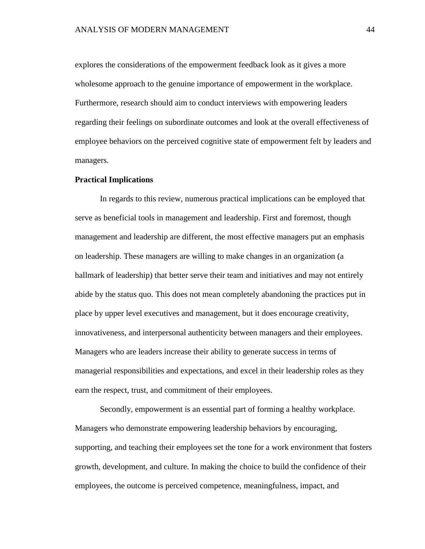explores the considerations of the empowerment feedback look as it gives a more wholesome approach to the genuine importance of empowerment in the workplace. Furthermore, research should aim to conduct interviews with empowering leaders regarding their feelings on subordinate outcomes and look at the overall effectiveness of employee behaviors on the perceived cognitive state of empowerment felt by leaders and managers.

#### **Practical Implications**

In regards to this review, numerous practical implications can be employed that serve as beneficial tools in management and leadership. First and foremost, though management and leadership are different, the most effective managers put an emphasis on leadership. These managers are willing to make changes in an organization (a hallmark of leadership) that better serve their team and initiatives and may not entirely abide by the status quo. This does not mean completely abandoning the practices put in place by upper level executives and management, but it does encourage creativity, innovativeness, and interpersonal authenticity between managers and their employees. Managers who are leaders increase their ability to generate success in terms of managerial responsibilities and expectations, and excel in their leadership roles as they earn the respect, trust, and commitment of their employees.

Secondly, empowerment is an essential part of forming a healthy workplace. Managers who demonstrate empowering leadership behaviors by encouraging, supporting, and teaching their employees set the tone for a work environment that fosters growth, development, and culture. In making the choice to build the confidence of their employees, the outcome is perceived competence, meaningfulness, impact, and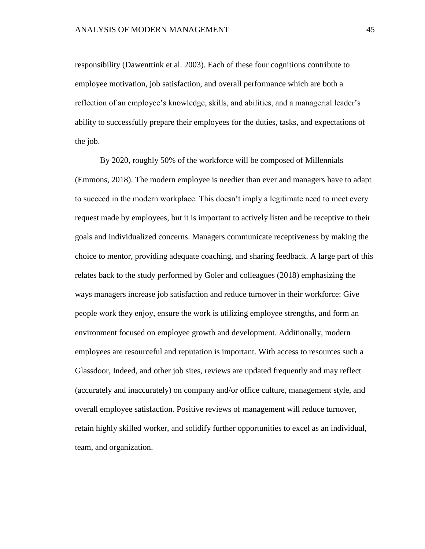responsibility (Dawenttink et al. 2003). Each of these four cognitions contribute to employee motivation, job satisfaction, and overall performance which are both a reflection of an employee's knowledge, skills, and abilities, and a managerial leader's ability to successfully prepare their employees for the duties, tasks, and expectations of the job.

By 2020, roughly 50% of the workforce will be composed of Millennials (Emmons, 2018). The modern employee is needier than ever and managers have to adapt to succeed in the modern workplace. This doesn't imply a legitimate need to meet every request made by employees, but it is important to actively listen and be receptive to their goals and individualized concerns. Managers communicate receptiveness by making the choice to mentor, providing adequate coaching, and sharing feedback. A large part of this relates back to the study performed by Goler and colleagues (2018) emphasizing the ways managers increase job satisfaction and reduce turnover in their workforce: Give people work they enjoy, ensure the work is utilizing employee strengths, and form an environment focused on employee growth and development. Additionally, modern employees are resourceful and reputation is important. With access to resources such a Glassdoor, Indeed, and other job sites, reviews are updated frequently and may reflect (accurately and inaccurately) on company and/or office culture, management style, and overall employee satisfaction. Positive reviews of management will reduce turnover, retain highly skilled worker, and solidify further opportunities to excel as an individual, team, and organization.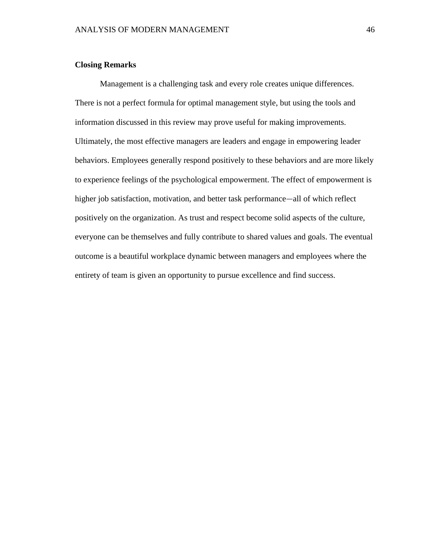# **Closing Remarks**

Management is a challenging task and every role creates unique differences. There is not a perfect formula for optimal management style, but using the tools and information discussed in this review may prove useful for making improvements. Ultimately, the most effective managers are leaders and engage in empowering leader behaviors. Employees generally respond positively to these behaviors and are more likely to experience feelings of the psychological empowerment. The effect of empowerment is higher job satisfaction, motivation, and better task performance—all of which reflect positively on the organization. As trust and respect become solid aspects of the culture, everyone can be themselves and fully contribute to shared values and goals. The eventual outcome is a beautiful workplace dynamic between managers and employees where the entirety of team is given an opportunity to pursue excellence and find success.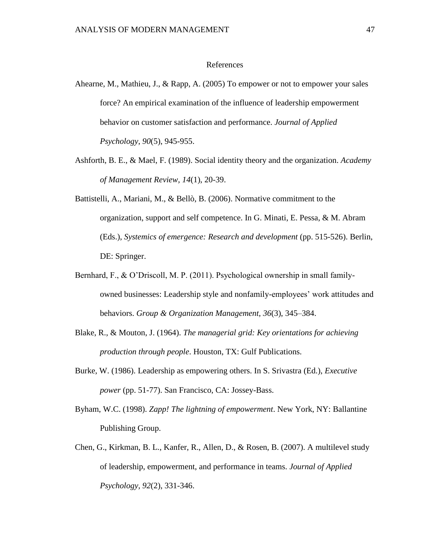# References

- Ahearne, M., Mathieu, J., & Rapp, A. (2005) To empower or not to empower your sales force? An empirical examination of the influence of leadership empowerment behavior on customer satisfaction and performance. *Journal of Applied Psychology*, *90*(5), 945-955.
- Ashforth, B. E., & Mael, F. (1989). Social identity theory and the organization. *Academy of Management Review, 14*(1), 20-39.
- Battistelli, A., Mariani, M., & Bellò, B. (2006). Normative commitment to the organization, support and self competence. In G. Minati, E. Pessa, & M. Abram (Eds.), *Systemics of emergence: Research and development* (pp. 515-526). Berlin, DE: Springer.
- Bernhard, F., & O'Driscoll, M. P. (2011). Psychological ownership in small familyowned businesses: Leadership style and nonfamily-employees' work attitudes and behaviors. *Group & Organization Management*, *36*(3), 345–384.
- Blake, R., & Mouton, J. (1964). *The managerial grid: Key orientations for achieving production through people*. Houston, TX: Gulf Publications.
- Burke, W. (1986). Leadership as empowering others. In S. Srivastra (Ed.), *Executive power* (pp. 51-77). San Francisco, CA: Jossey-Bass.
- Byham, W.C. (1998). *Zapp! The lightning of empowerment*. New York, NY: Ballantine Publishing Group.
- Chen, G., Kirkman, B. L., Kanfer, R., Allen, D., & Rosen, B. (2007). A multilevel study of leadership, empowerment, and performance in teams. *Journal of Applied Psychology, 92*(2), 331-346.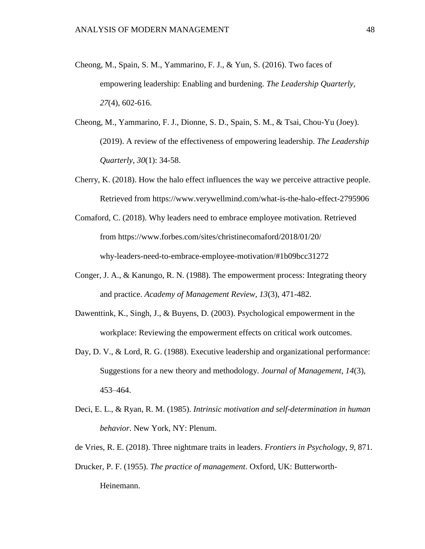- Cheong, M., Spain, S. M., Yammarino, F. J., & Yun, S. (2016). Two faces of empowering leadership: Enabling and burdening. *The Leadership Quarterly, 27*(4), 602-616.
- Cheong, M., Yammarino, F. J., Dionne, S. D., Spain, S. M., & Tsai, Chou-Yu (Joey). (2019). A review of the effectiveness of empowering leadership. *The Leadership Quarterly*, *30*(1): 34-58.
- Cherry, K. (2018). How the halo effect influences the way we perceive attractive people. Retrieved from https://www.verywellmind.com/what-is-the-halo-effect-2795906
- Comaford, C. (2018). Why leaders need to embrace employee motivation. Retrieved from https://www.forbes.com/sites/christinecomaford/2018/01/20/ why-leaders-need-to-embrace-employee-motivation/#1b09bcc31272
- Conger, J. A., & Kanungo, R. N. (1988). The empowerment process: Integrating theory and practice. *Academy of Management Review, 13*(3), 471-482.
- Dawenttink, K., Singh, J., & Buyens, D. (2003). Psychological empowerment in the workplace: Reviewing the empowerment effects on critical work outcomes.
- Day, D. V., & Lord, R. G. (1988). Executive leadership and organizational performance: Suggestions for a new theory and methodology. *Journal of Management*, *14*(3), 453–464[.](https://doi.org/10.1177/014920638801400308)
- Deci, E. L., & Ryan, R. M. (1985). *Intrinsic motivation and self-determination in human behavior*. New York, NY: Plenum.
- de Vries, R. E. (2018). Three nightmare traits in leaders. *Frontiers in Psychology*, *9*, 871.
- Drucker, P. F. (1955). *The practice of management*. Oxford, UK: Butterworth-Heinemann.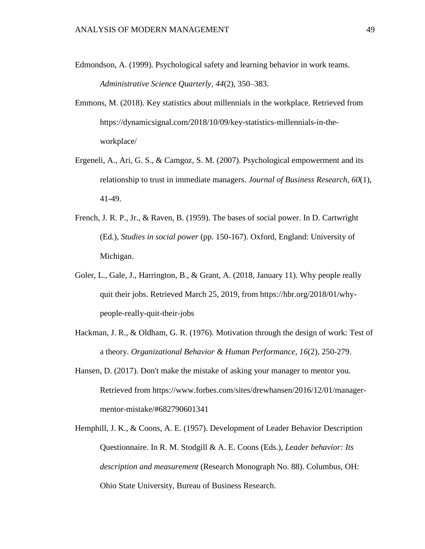- Edmondson, A. (1999). Psychological safety and learning behavior in work teams. *Administrative Science Quarterly*, *44*(2), 350–383.
- Emmons, M. (2018). Key statistics about millennials in the workplace. Retrieved from https://dynamicsignal.com/2018/10/09/key-statistics-millennials-in-theworkplace/
- Ergeneli, A., Ari, G. S., & Camgoz, S. M. (2007). Psychological empowerment and its relationship to trust in immediate managers. *Journal of Business Research*, *60*(1), 41-49.
- French, J. R. P., Jr., & Raven, B. (1959). The bases of social power. In D. Cartwright (Ed.), *Studies in social power* (pp. 150-167). Oxford, England: University of Michigan.
- Goler, L., Gale, J., Harrington, B., & Grant, A. (2018, January 11). Why people really quit their jobs. Retrieved March 25, 2019, from https://hbr.org/2018/01/whypeople-really-quit-their-jobs
- Hackman, J. R., & Oldham, G. R. (1976). Motivation through the design of work: Test of a theory. *Organizational Behavior & Human Performance, 16*(2), 250-279.
- Hansen, D. (2017). Don't make the mistake of asking your manager to mentor you. Retrieved from https://www.forbes.com/sites/drewhansen/2016/12/01/managermentor-mistake/#682790601341
- Hemphill, J. K., & Coons, A. E. (1957). Development of Leader Behavior Description Questionnaire. In R. M. Stodgill & A. E. Coons (Eds.), *Leader behavior: Its description and measurement* (Research Monograph No. 88). Columbus, OH: Ohio State University, Bureau of Business Research.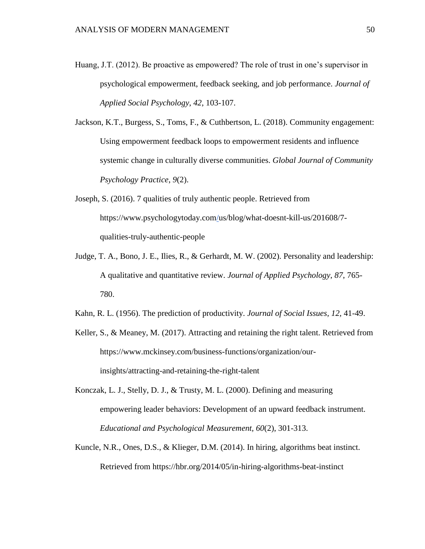Huang, J.T. (2012). Be proactive as empowered? The role of trust in one's supervisor in psychological empowerment, feedback seeking, and job performance. *Journal of Applied Social Psychology*, *42*, 103-107.

Jackson, K.T., Burgess, S., Toms, F., & Cuthbertson, L. (2018). Community engagement: Using empowerment feedback loops to empowerment residents and influence systemic change in culturally diverse communities. *Global Journal of Community Psychology Practice*, *9*(2).

- Joseph, S. (2016). 7 qualities of truly authentic people. Retrieved from https://www.psychologytoday.co[m/u](https://www.psychologytoday.com/)s/blog/what-doesnt-kill-us/201608/7 qualities-truly-authentic-people
- Judge, T. A., Bono, J. E., Ilies, R., & Gerhardt, M. W. (2002). Personality and leadership: A qualitative and quantitative review. *Journal of Applied Psychology*, *87*, 765- 780.
- Kahn, R. L. (1956). The prediction of productivity. *Journal of Social Issues, 12,* 41-49.
- Keller, S., & Meaney, M. (2017). Attracting and retaining the right talent. Retrieved from https://www.mckinsey.com/business-functions/organization/ourinsights/attracting-and-retaining-the-right-talent
- Konczak, L. J., Stelly, D. J., & Trusty, M. L. (2000). Defining and measuring empowering leader behaviors: Development of an upward feedback instrument. *Educational and Psychological Measurement, 60*(2), 301-313.
- Kuncle, N.R., Ones, D.S., & Klieger, D.M. (2014). In hiring, algorithms beat instinct. Retrieved from https://hbr.org/2014/05/in-hiring-algorithms-beat-instinct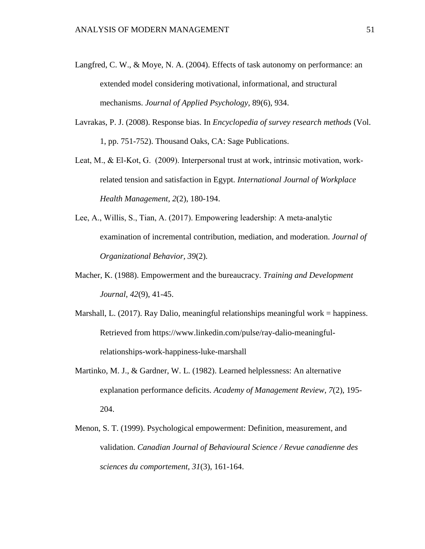- Langfred, C. W., & Moye, N. A. (2004). Effects of task autonomy on performance: an extended model considering motivational, informational, and structural mechanisms. *Journal of Applied Psychology*, 89(6), 934.
- Lavrakas, P. J. (2008). Response bias. In *Encyclopedia of survey research methods* (Vol. 1, pp. 751-752). Thousand Oaks, CA: Sage Publications.
- Leat, M., & El-Kot, G. (2009). Interpersonal trust at work, intrinsic motivation, workrelated tension and satisfaction in Egypt. *International Journal of Workplace Health Management*, *2*(2), 180-194.
- Lee, A., Willis, S., Tian, A. (2017). Empowering leadership: A meta‐analytic examination of incremental contribution, mediation, and moderation. *Journal of Organizational Behavior, 39*(2).
- Macher, K. (1988). Empowerment and the bureaucracy. *Training and Development Journal*, *42*(9), 41-45.
- Marshall, L. (2017). Ray Dalio, meaningful relationships meaningful work = happiness. Retrieved from https://www.linkedin.com/pulse/ray-dalio-meaningfulrelationships-work-happiness-luke-marshall
- Martinko, M. J., & Gardner, W. L. (1982). Learned helplessness: An alternative explanation performance deficits. *Academy of Management Review*, *7*(2), 195- 204.
- Menon, S. T. (1999). Psychological empowerment: Definition, measurement, and validation. *Canadian Journal of Behavioural Science / Revue canadienne des sciences du comportement, 31*(3), 161-164[.](https://psycnet.apa.org/doi/10.1037/h0087084)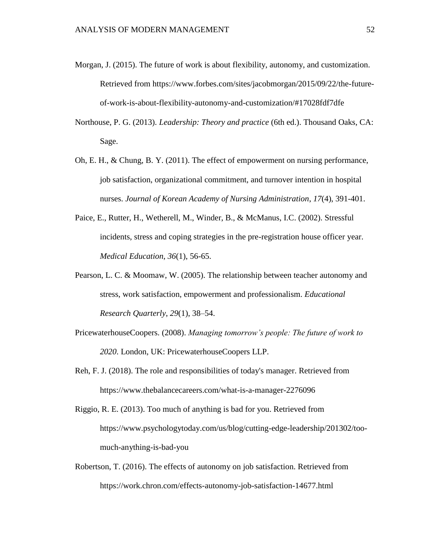- Morgan, J. (2015). The future of work is about flexibility, autonomy, and customization. Retrieved from https://www.forbes.com/sites/jacobmorgan/2015/09/22/the-futureof-work-is-about-flexibility-autonomy-and-customization/#17028fdf7dfe
- Northouse, P. G. (2013). *Leadership: Theory and practice* (6th ed.). Thousand Oaks, CA: Sage.
- Oh, E. H., & Chung, B. Y. (2011). The effect of empowerment on nursing performance, job satisfaction, organizational commitment, and turnover intention in hospital nurses. *Journal of Korean Academy of Nursing Administration*, *17*(4), 391-401.
- Paice, E., Rutter, H., Wetherell, M., Winder, B., & McManus, I.C. (2002). Stressful incidents, stress and coping strategies in the pre-registration house officer year. *Medical Education*, *36*(1), 56-65.
- Pearson, L. C. & Moomaw, W. (2005). The relationship between teacher autonomy and stress, work satisfaction, empowerment and professionalism. *Educational Research Quarterly*, *29*(1), 38–54.
- PricewaterhouseCoopers. (2008). *Managing tomorrow's people: The future of work to 2020*. London, UK: PricewaterhouseCoopers LLP.
- Reh, F. J. (2018). The role and responsibilities of today's manager. Retrieved from https://www.thebalancecareers.com/what-is-a-manager-2276096
- Riggio, R. E. (2013). Too much of anything is bad for you. Retrieved from https://www.psychologytoday.com/us/blog/cutting-edge-leadership/201302/toomuch-anything-is-bad-you
- Robertson, T. (2016). The effects of autonomy on job satisfaction. Retrieved from https://work.chron.com/effects-autonomy-job-satisfaction-14677.html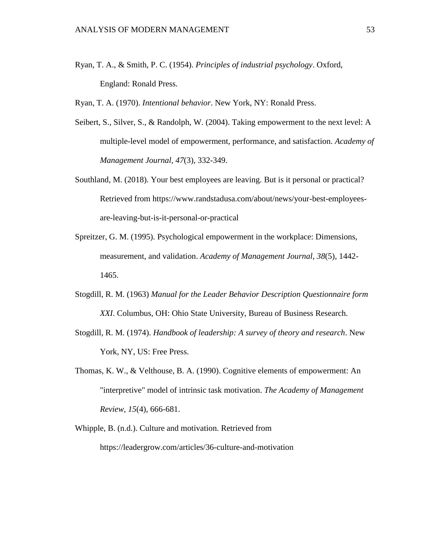- Ryan, T. A., & Smith, P. C. (1954). *Principles of industrial psychology*. Oxford, England: Ronald Press.
- Ryan, T. A. (1970). *Intentional behavior*. New York, NY: Ronald Press.
- Seibert, S., Silver, S., & Randolph, W. (2004). Taking empowerment to the next level: A multiple-level model of empowerment, performance, and satisfaction. *Academy of Management Journal, 47*(3), 332-349.
- Southland, M. (2018). Your best employees are leaving. But is it personal or practical? Retrieved from https://www.randstadusa.com/about/news/your-best-employeesare-leaving-but-is-it-personal-or-practical
- Spreitzer, G. M. (1995). Psychological empowerment in the workplace: Dimensions, measurement, and validation. *Academy of Management Journal*, *38*(5), 1442- 1465.
- Stogdill, R. M. (1963) *Manual for the Leader Behavior Description Questionnaire form XXI*. Columbus, OH: Ohio State University, Bureau of Business Research.
- Stogdill, R. M. (1974). *Handbook of leadership: A survey of theory and research*. New York, NY, US: Free Press.
- Thomas, K. W., & Velthouse, B. A. (1990). Cognitive elements of empowerment: An "interpretive" model of intrinsic task motivation. *The Academy of Management Review, 15*(4), 666-681.
- Whipple, B. (n.d.). Culture and motivation. Retrieved from https://leadergrow.com/articles/36-culture-and-motivation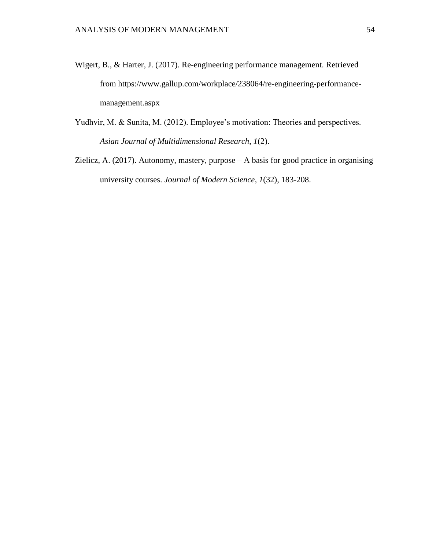- Wigert, B., & Harter, J. (2017). Re-engineering performance management. Retrieved from https://www.gallup.com/workplace/238064/re-engineering-performancemanagement.aspx
- Yudhvir, M. & Sunita, M. (2012). Employee's motivation: Theories and perspectives. *Asian Journal of Multidimensional Research*, *1*(2).
- Zielicz, A. (2017). Autonomy, mastery, purpose A basis for good practice in organising university courses. *Journal of Modern Science*, *1*(32), 183-208.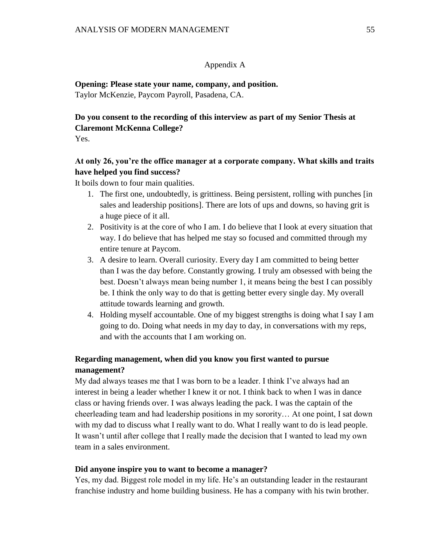# Appendix A

**Opening: Please state your name, company, and position.**  Taylor McKenzie, Paycom Payroll, Pasadena, CA.

# **Do you consent to the recording of this interview as part of my Senior Thesis at Claremont McKenna College?**

Yes.

# **At only 26, you're the office manager at a corporate company. What skills and traits have helped you find success?**

It boils down to four main qualities.

- 1. The first one, undoubtedly, is grittiness. Being persistent, rolling with punches [in sales and leadership positions]. There are lots of ups and downs, so having grit is a huge piece of it all.
- 2. Positivity is at the core of who I am. I do believe that I look at every situation that way. I do believe that has helped me stay so focused and committed through my entire tenure at Paycom.
- 3. A desire to learn. Overall curiosity. Every day I am committed to being better than I was the day before. Constantly growing. I truly am obsessed with being the best. Doesn't always mean being number 1, it means being the best I can possibly be. I think the only way to do that is getting better every single day. My overall attitude towards learning and growth.
- 4. Holding myself accountable. One of my biggest strengths is doing what I say I am going to do. Doing what needs in my day to day, in conversations with my reps, and with the accounts that I am working on.

# **Regarding management, when did you know you first wanted to pursue management?**

My dad always teases me that I was born to be a leader. I think I've always had an interest in being a leader whether I knew it or not. I think back to when I was in dance class or having friends over. I was always leading the pack. I was the captain of the cheerleading team and had leadership positions in my sorority… At one point, I sat down with my dad to discuss what I really want to do. What I really want to do is lead people. It wasn't until after college that I really made the decision that I wanted to lead my own team in a sales environment.

# **Did anyone inspire you to want to become a manager?**

Yes, my dad. Biggest role model in my life. He's an outstanding leader in the restaurant franchise industry and home building business. He has a company with his twin brother.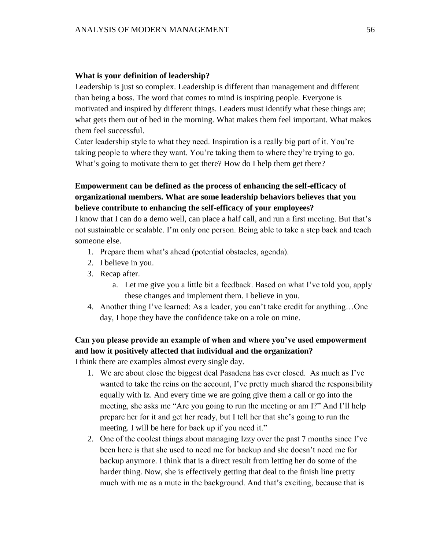# **What is your definition of leadership?**

Leadership is just so complex. Leadership is different than management and different than being a boss. The word that comes to mind is inspiring people. Everyone is motivated and inspired by different things. Leaders must identify what these things are; what gets them out of bed in the morning. What makes them feel important. What makes them feel successful.

Cater leadership style to what they need. Inspiration is a really big part of it. You're taking people to where they want. You're taking them to where they're trying to go. What's going to motivate them to get there? How do I help them get there?

# **Empowerment can be defined as the process of enhancing the self-efficacy of organizational members. What are some leadership behaviors believes that you believe contribute to enhancing the self-efficacy of your employees?**

I know that I can do a demo well, can place a half call, and run a first meeting. But that's not sustainable or scalable. I'm only one person. Being able to take a step back and teach someone else.

- 1. Prepare them what's ahead (potential obstacles, agenda).
- 2. I believe in you.
- 3. Recap after.
	- a. Let me give you a little bit a feedback. Based on what I've told you, apply these changes and implement them. I believe in you.
- 4. Another thing I've learned: As a leader, you can't take credit for anything…One day, I hope they have the confidence take on a role on mine.

# **Can you please provide an example of when and where you've used empowerment and how it positively affected that individual and the organization?**

I think there are examples almost every single day.

- 1. We are about close the biggest deal Pasadena has ever closed. As much as I've wanted to take the reins on the account, I've pretty much shared the responsibility equally with Iz. And every time we are going give them a call or go into the meeting, she asks me "Are you going to run the meeting or am I?" And I'll help prepare her for it and get her ready, but I tell her that she's going to run the meeting. I will be here for back up if you need it."
- 2. One of the coolest things about managing Izzy over the past 7 months since I've been here is that she used to need me for backup and she doesn't need me for backup anymore. I think that is a direct result from letting her do some of the harder thing. Now, she is effectively getting that deal to the finish line pretty much with me as a mute in the background. And that's exciting, because that is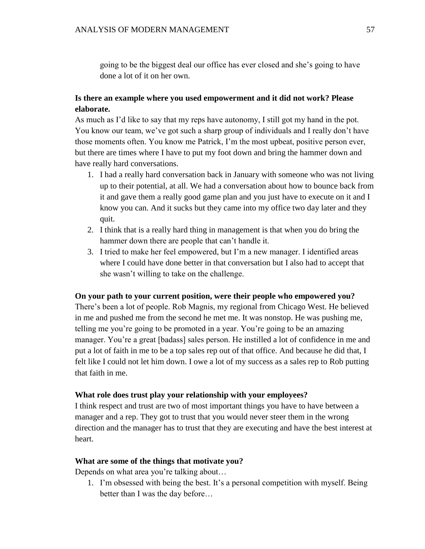going to be the biggest deal our office has ever closed and she's going to have done a lot of it on her own.

# **Is there an example where you used empowerment and it did not work? Please elaborate.**

As much as I'd like to say that my reps have autonomy, I still got my hand in the pot. You know our team, we've got such a sharp group of individuals and I really don't have those moments often. You know me Patrick, I'm the most upbeat, positive person ever, but there are times where I have to put my foot down and bring the hammer down and have really hard conversations.

- 1. I had a really hard conversation back in January with someone who was not living up to their potential, at all. We had a conversation about how to bounce back from it and gave them a really good game plan and you just have to execute on it and I know you can. And it sucks but they came into my office two day later and they quit.
- 2. I think that is a really hard thing in management is that when you do bring the hammer down there are people that can't handle it.
- 3. I tried to make her feel empowered, but I'm a new manager. I identified areas where I could have done better in that conversation but I also had to accept that she wasn't willing to take on the challenge.

# **On your path to your current position, were their people who empowered you?**

There's been a lot of people. Rob Magnis, my regional from Chicago West. He believed in me and pushed me from the second he met me. It was nonstop. He was pushing me, telling me you're going to be promoted in a year. You're going to be an amazing manager. You're a great [badass] sales person. He instilled a lot of confidence in me and put a lot of faith in me to be a top sales rep out of that office. And because he did that, I felt like I could not let him down. I owe a lot of my success as a sales rep to Rob putting that faith in me.

# **What role does trust play your relationship with your employees?**

I think respect and trust are two of most important things you have to have between a manager and a rep. They got to trust that you would never steer them in the wrong direction and the manager has to trust that they are executing and have the best interest at heart.

# **What are some of the things that motivate you?**

Depends on what area you're talking about…

1. I'm obsessed with being the best. It's a personal competition with myself. Being better than I was the day before…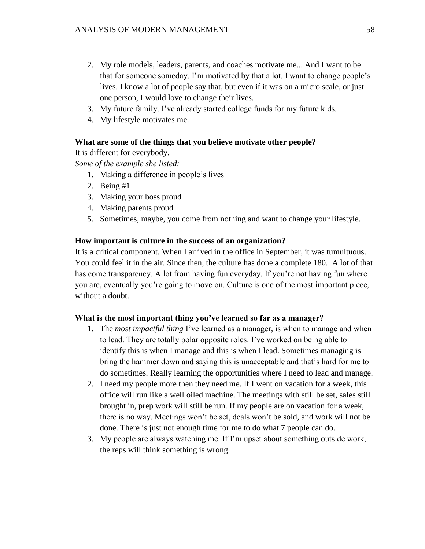- 2. My role models, leaders, parents, and coaches motivate me... And I want to be that for someone someday. I'm motivated by that a lot. I want to change people's lives. I know a lot of people say that, but even if it was on a micro scale, or just one person, I would love to change their lives.
- 3. My future family. I've already started college funds for my future kids.
- 4. My lifestyle motivates me.

# **What are some of the things that you believe motivate other people?**

It is different for everybody.

*Some of the example she listed:* 

- 1. Making a difference in people's lives
- 2. Being #1
- 3. Making your boss proud
- 4. Making parents proud
- 5. Sometimes, maybe, you come from nothing and want to change your lifestyle.

## **How important is culture in the success of an organization?**

It is a critical component. When I arrived in the office in September, it was tumultuous. You could feel it in the air. Since then, the culture has done a complete 180. A lot of that has come transparency. A lot from having fun everyday. If you're not having fun where you are, eventually you're going to move on. Culture is one of the most important piece, without a doubt.

#### **What is the most important thing you've learned so far as a manager?**

- 1. The *most impactful thing* I've learned as a manager, is when to manage and when to lead. They are totally polar opposite roles. I've worked on being able to identify this is when I manage and this is when I lead. Sometimes managing is bring the hammer down and saying this is unacceptable and that's hard for me to do sometimes. Really learning the opportunities where I need to lead and manage.
- 2. I need my people more then they need me. If I went on vacation for a week, this office will run like a well oiled machine. The meetings with still be set, sales still brought in, prep work will still be run. If my people are on vacation for a week, there is no way. Meetings won't be set, deals won't be sold, and work will not be done. There is just not enough time for me to do what 7 people can do.
- 3. My people are always watching me. If I'm upset about something outside work, the reps will think something is wrong.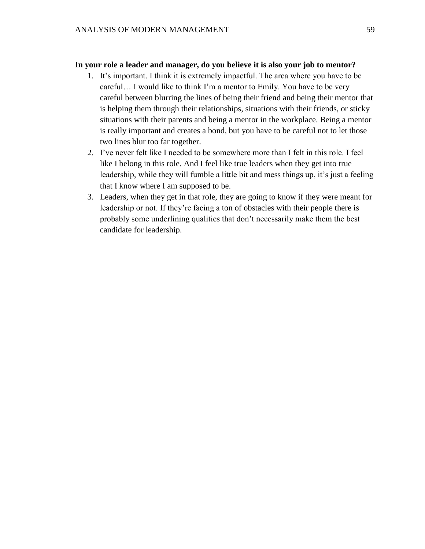# **In your role a leader and manager, do you believe it is also your job to mentor?**

- 1. It's important. I think it is extremely impactful. The area where you have to be careful… I would like to think I'm a mentor to Emily. You have to be very careful between blurring the lines of being their friend and being their mentor that is helping them through their relationships, situations with their friends, or sticky situations with their parents and being a mentor in the workplace. Being a mentor is really important and creates a bond, but you have to be careful not to let those two lines blur too far together.
- 2. I've never felt like I needed to be somewhere more than I felt in this role. I feel like I belong in this role. And I feel like true leaders when they get into true leadership, while they will fumble a little bit and mess things up, it's just a feeling that I know where I am supposed to be.
- 3. Leaders, when they get in that role, they are going to know if they were meant for leadership or not. If they're facing a ton of obstacles with their people there is probably some underlining qualities that don't necessarily make them the best candidate for leadership.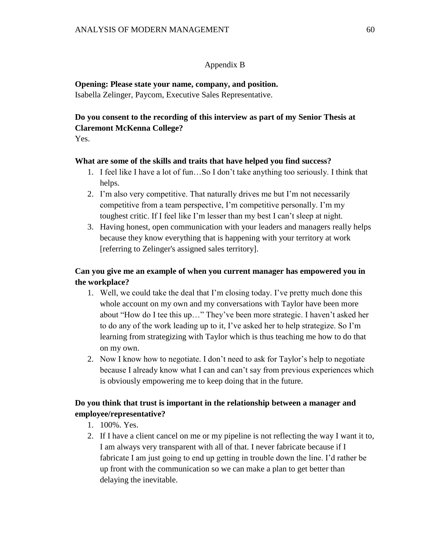# Appendix B

**Opening: Please state your name, company, and position.**  Isabella Zelinger, Paycom, Executive Sales Representative.

# **Do you consent to the recording of this interview as part of my Senior Thesis at Claremont McKenna College?**

Yes.

# **What are some of the skills and traits that have helped you find success?**

- 1. I feel like I have a lot of fun…So I don't take anything too seriously. I think that helps.
- 2. I'm also very competitive. That naturally drives me but I'm not necessarily competitive from a team perspective, I'm competitive personally. I'm my toughest critic. If I feel like I'm lesser than my best I can't sleep at night.
- 3. Having honest, open communication with your leaders and managers really helps because they know everything that is happening with your territory at work [referring to Zelinger's assigned sales territory].

# **Can you give me an example of when you current manager has empowered you in the workplace?**

- 1. Well, we could take the deal that I'm closing today. I've pretty much done this whole account on my own and my conversations with Taylor have been more about "How do I tee this up…" They've been more strategic. I haven't asked her to do any of the work leading up to it, I've asked her to help strategize. So I'm learning from strategizing with Taylor which is thus teaching me how to do that on my own.
- 2. Now I know how to negotiate. I don't need to ask for Taylor's help to negotiate because I already know what I can and can't say from previous experiences which is obviously empowering me to keep doing that in the future.

# **Do you think that trust is important in the relationship between a manager and employee/representative?**

- 1. 100%. Yes.
- 2. If I have a client cancel on me or my pipeline is not reflecting the way I want it to, I am always very transparent with all of that. I never fabricate because if I fabricate I am just going to end up getting in trouble down the line. I'd rather be up front with the communication so we can make a plan to get better than delaying the inevitable.